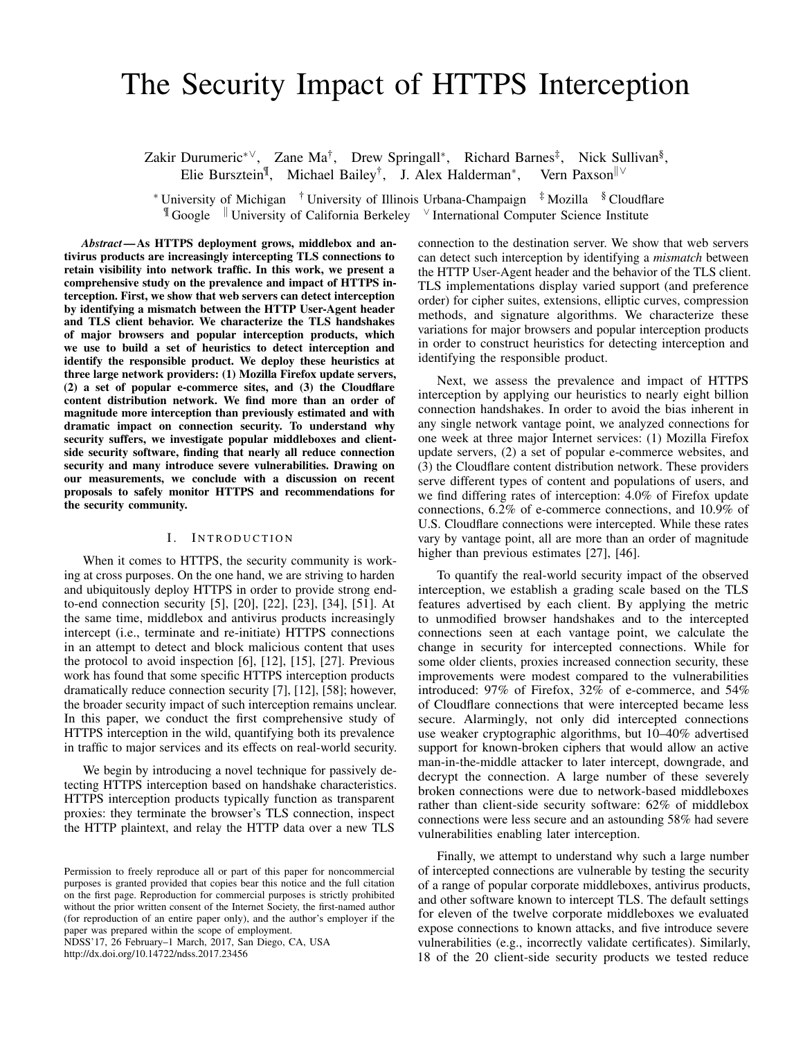# The Security Impact of HTTPS Interception

Zakir Durumeric<sup>∗∨</sup>, Zane Ma<sup>†</sup>, Drew Springall<sup>∗</sup>, Richard Barnes<sup>‡</sup>, Nick Sullivan<sup>§</sup>, Elie Bursztein<sup>¶</sup>, Michael Bailey<sup>†</sup>, J. Alex Halderman<sup>∗</sup>, Vern Paxson<sup>||∨</sup>

<sup>∗</sup> University of Michigan † University of Illinois Urbana-Champaign ‡ Mozilla § Cloudflare ¶ Google <sup>k</sup> University of California Berkeley <sup>∨</sup> International Computer Science Institute

*Abstract*—As HTTPS deployment grows, middlebox and antivirus products are increasingly intercepting TLS connections to retain visibility into network traffic. In this work, we present a comprehensive study on the prevalence and impact of HTTPS interception. First, we show that web servers can detect interception by identifying a mismatch between the HTTP User-Agent header and TLS client behavior. We characterize the TLS handshakes of major browsers and popular interception products, which we use to build a set of heuristics to detect interception and identify the responsible product. We deploy these heuristics at three large network providers: (1) Mozilla Firefox update servers, (2) a set of popular e-commerce sites, and (3) the Cloudflare content distribution network. We find more than an order of magnitude more interception than previously estimated and with dramatic impact on connection security. To understand why security suffers, we investigate popular middleboxes and clientside security software, finding that nearly all reduce connection security and many introduce severe vulnerabilities. Drawing on our measurements, we conclude with a discussion on recent proposals to safely monitor HTTPS and recommendations for the security community.

#### I. INTRODUCTION

When it comes to HTTPS, the security community is working at cross purposes. On the one hand, we are striving to harden and ubiquitously deploy HTTPS in order to provide strong endto-end connection security [\[5\]](#page-12-0), [\[20\]](#page-13-0), [\[22\]](#page-13-1), [\[23\]](#page-13-2), [\[34\]](#page-13-3), [\[51\]](#page-13-4). At the same time, middlebox and antivirus products increasingly intercept (i.e., terminate and re-initiate) HTTPS connections in an attempt to detect and block malicious content that uses the protocol to avoid inspection [\[6\]](#page-12-1), [\[12\]](#page-12-2), [\[15\]](#page-12-3), [\[27\]](#page-13-5). Previous work has found that some specific HTTPS interception products dramatically reduce connection security [\[7\]](#page-12-4), [\[12\]](#page-12-2), [\[58\]](#page-13-6); however, the broader security impact of such interception remains unclear. In this paper, we conduct the first comprehensive study of HTTPS interception in the wild, quantifying both its prevalence in traffic to major services and its effects on real-world security.

We begin by introducing a novel technique for passively detecting HTTPS interception based on handshake characteristics. HTTPS interception products typically function as transparent proxies: they terminate the browser's TLS connection, inspect the HTTP plaintext, and relay the HTTP data over a new TLS

NDSS'17, 26 February–1 March, 2017, San Diego, CA, USA

http://dx.doi.org/10.14722/ndss.2017.23456

connection to the destination server. We show that web servers can detect such interception by identifying a *mismatch* between the HTTP User-Agent header and the behavior of the TLS client. TLS implementations display varied support (and preference order) for cipher suites, extensions, elliptic curves, compression methods, and signature algorithms. We characterize these variations for major browsers and popular interception products in order to construct heuristics for detecting interception and identifying the responsible product.

Next, we assess the prevalence and impact of HTTPS interception by applying our heuristics to nearly eight billion connection handshakes. In order to avoid the bias inherent in any single network vantage point, we analyzed connections for one week at three major Internet services: (1) Mozilla Firefox update servers, (2) a set of popular e-commerce websites, and (3) the Cloudflare content distribution network. These providers serve different types of content and populations of users, and we find differing rates of interception: 4.0% of Firefox update connections, 6.2% of e-commerce connections, and 10.9% of U.S. Cloudflare connections were intercepted. While these rates vary by vantage point, all are more than an order of magnitude higher than previous estimates [\[27\]](#page-13-5), [\[46\]](#page-13-7).

To quantify the real-world security impact of the observed interception, we establish a grading scale based on the TLS features advertised by each client. By applying the metric to unmodified browser handshakes and to the intercepted connections seen at each vantage point, we calculate the change in security for intercepted connections. While for some older clients, proxies increased connection security, these improvements were modest compared to the vulnerabilities introduced: 97% of Firefox, 32% of e-commerce, and 54% of Cloudflare connections that were intercepted became less secure. Alarmingly, not only did intercepted connections use weaker cryptographic algorithms, but 10–40% advertised support for known-broken ciphers that would allow an active man-in-the-middle attacker to later intercept, downgrade, and decrypt the connection. A large number of these severely broken connections were due to network-based middleboxes rather than client-side security software: 62% of middlebox connections were less secure and an astounding 58% had severe vulnerabilities enabling later interception.

Finally, we attempt to understand why such a large number of intercepted connections are vulnerable by testing the security of a range of popular corporate middleboxes, antivirus products, and other software known to intercept TLS. The default settings for eleven of the twelve corporate middleboxes we evaluated expose connections to known attacks, and five introduce severe vulnerabilities (e.g., incorrectly validate certificates). Similarly, 18 of the 20 client-side security products we tested reduce

Permission to freely reproduce all or part of this paper for noncommercial purposes is granted provided that copies bear this notice and the full citation on the first page. Reproduction for commercial purposes is strictly prohibited without the prior written consent of the Internet Society, the first-named author (for reproduction of an entire paper only), and the author's employer if the paper was prepared within the scope of employment.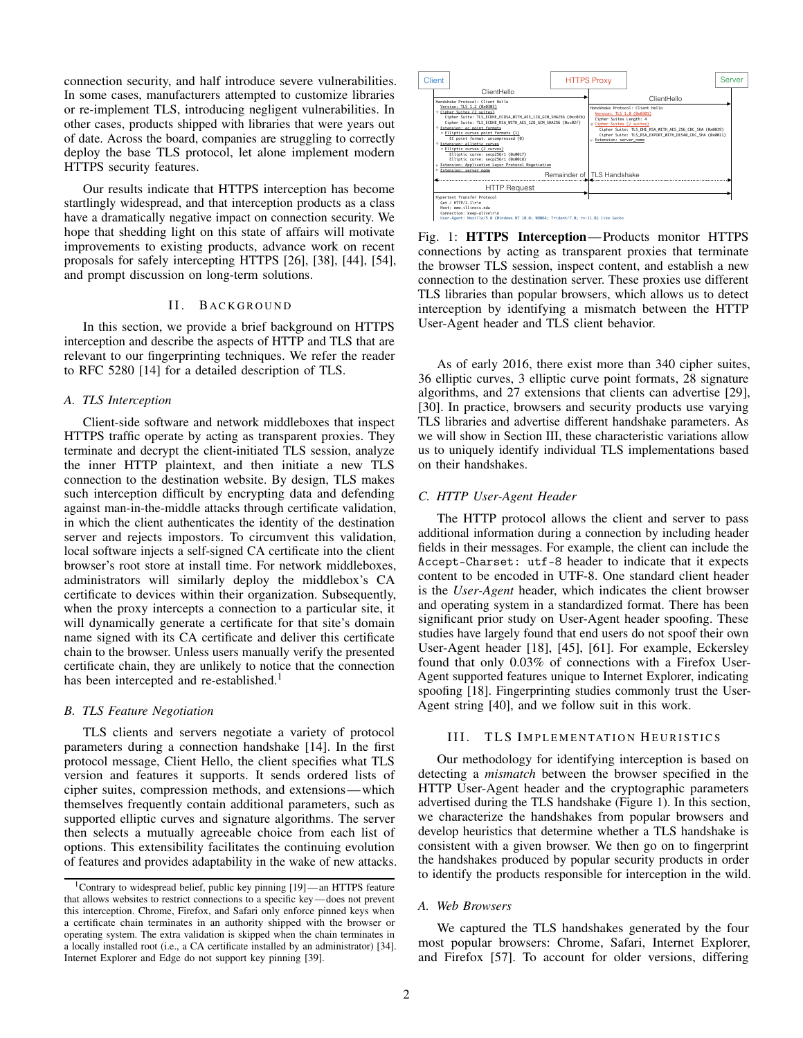connection security, and half introduce severe vulnerabilities. In some cases, manufacturers attempted to customize libraries or re-implement TLS, introducing negligent vulnerabilities. In other cases, products shipped with libraries that were years out of date. Across the board, companies are struggling to correctly deploy the base TLS protocol, let alone implement modern HTTPS security features.

Our results indicate that HTTPS interception has become startlingly widespread, and that interception products as a class have a dramatically negative impact on connection security. We hope that shedding light on this state of affairs will motivate improvements to existing products, advance work on recent proposals for safely intercepting HTTPS [\[26\]](#page-13-8), [\[38\]](#page-13-9), [\[44\]](#page-13-10), [\[54\]](#page-13-11), and prompt discussion on long-term solutions.

#### II. BACKGROUND

In this section, we provide a brief background on HTTPS interception and describe the aspects of HTTP and TLS that are relevant to our fingerprinting techniques. We refer the reader to RFC 5280 [\[14\]](#page-12-5) for a detailed description of TLS.

#### *A. TLS Interception*

Client-side software and network middleboxes that inspect HTTPS traffic operate by acting as transparent proxies. They terminate and decrypt the client-initiated TLS session, analyze the inner HTTP plaintext, and then initiate a new TLS connection to the destination website. By design, TLS makes such interception difficult by encrypting data and defending against man-in-the-middle attacks through certificate validation, in which the client authenticates the identity of the destination server and rejects impostors. To circumvent this validation, local software injects a self-signed CA certificate into the client browser's root store at install time. For network middleboxes, administrators will similarly deploy the middlebox's CA certificate to devices within their organization. Subsequently, when the proxy intercepts a connection to a particular site, it will dynamically generate a certificate for that site's domain name signed with its CA certificate and deliver this certificate chain to the browser. Unless users manually verify the presented certificate chain, they are unlikely to notice that the connection has been intercepted and re-established.<sup>[1](#page-1-0)</sup>

#### *B. TLS Feature Negotiation*

TLS clients and servers negotiate a variety of protocol parameters during a connection handshake [\[14\]](#page-12-5). In the first protocol message, Client Hello, the client specifies what TLS version and features it supports. It sends ordered lists of cipher suites, compression methods, and extensions—which themselves frequently contain additional parameters, such as supported elliptic curves and signature algorithms. The server then selects a mutually agreeable choice from each list of options. This extensibility facilitates the continuing evolution of features and provides adaptability in the wake of new attacks.

<span id="page-1-2"></span>

Fig. 1: HTTPS Interception— Products monitor HTTPS connections by acting as transparent proxies that terminate the browser TLS session, inspect content, and establish a new connection to the destination server. These proxies use different TLS libraries than popular browsers, which allows us to detect interception by identifying a mismatch between the HTTP User-Agent header and TLS client behavior.

As of early 2016, there exist more than 340 cipher suites, 36 elliptic curves, 3 elliptic curve point formats, 28 signature algorithms, and 27 extensions that clients can advertise [\[29\]](#page-13-14), [\[30\]](#page-13-15). In practice, browsers and security products use varying TLS libraries and advertise different handshake parameters. As we will show in Section [III,](#page-1-1) these characteristic variations allow us to uniquely identify individual TLS implementations based on their handshakes.

#### *C. HTTP User-Agent Header*

The HTTP protocol allows the client and server to pass additional information during a connection by including header fields in their messages. For example, the client can include the Accept-Charset: utf-8 header to indicate that it expects content to be encoded in UTF-8. One standard client header is the *User-Agent* header, which indicates the client browser and operating system in a standardized format. There has been significant prior study on User-Agent header spoofing. These studies have largely found that end users do not spoof their own User-Agent header [\[18\]](#page-13-16), [\[45\]](#page-13-17), [\[61\]](#page-13-18). For example, Eckersley found that only 0.03% of connections with a Firefox User-Agent supported features unique to Internet Explorer, indicating spoofing [\[18\]](#page-13-16). Fingerprinting studies commonly trust the User-Agent string [\[40\]](#page-13-19), and we follow suit in this work.

#### <span id="page-1-1"></span>III. TLS IMPLEMENTATION HEURISTICS

Our methodology for identifying interception is based on detecting a *mismatch* between the browser specified in the HTTP User-Agent header and the cryptographic parameters advertised during the TLS handshake (Figure [1\)](#page-1-2). In this section, we characterize the handshakes from popular browsers and develop heuristics that determine whether a TLS handshake is consistent with a given browser. We then go on to fingerprint the handshakes produced by popular security products in order to identify the products responsible for interception in the wild.

#### *A. Web Browsers*

We captured the TLS handshakes generated by the four most popular browsers: Chrome, Safari, Internet Explorer, and Firefox [\[57\]](#page-13-20). To account for older versions, differing

<span id="page-1-0"></span><sup>1</sup>Contrary to widespread belief, public key pinning [\[19\]](#page-13-12)— an HTTPS feature that allows websites to restrict connections to a specific key— does not prevent this interception. Chrome, Firefox, and Safari only enforce pinned keys when a certificate chain terminates in an authority shipped with the browser or operating system. The extra validation is skipped when the chain terminates in a locally installed root (i.e., a CA certificate installed by an administrator) [\[34\]](#page-13-3). Internet Explorer and Edge do not support key pinning [\[39\]](#page-13-13).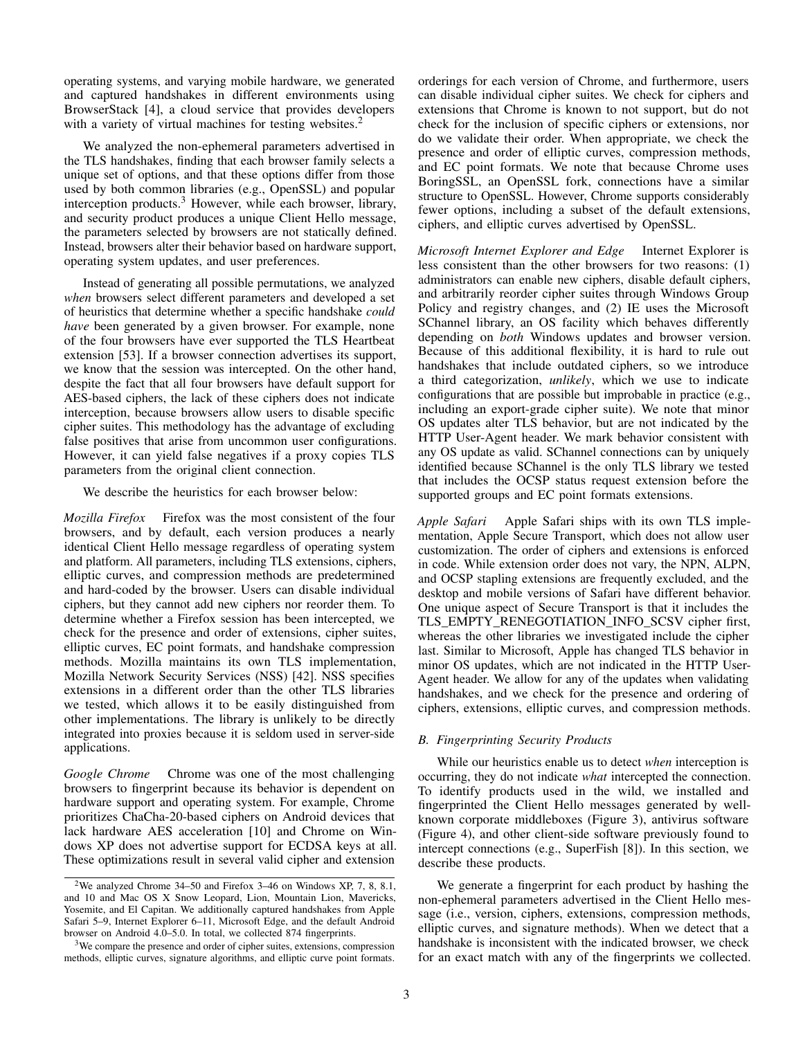operating systems, and varying mobile hardware, we generated and captured handshakes in different environments using BrowserStack [\[4\]](#page-12-6), a cloud service that provides developers with a variety of virtual machines for testing websites.<sup>[2](#page-2-0)</sup>

We analyzed the non-ephemeral parameters advertised in the TLS handshakes, finding that each browser family selects a unique set of options, and that these options differ from those used by both common libraries (e.g., OpenSSL) and popular interception products.<sup>[3](#page-2-1)</sup> However, while each browser, library, and security product produces a unique Client Hello message, the parameters selected by browsers are not statically defined. Instead, browsers alter their behavior based on hardware support, operating system updates, and user preferences.

Instead of generating all possible permutations, we analyzed *when* browsers select different parameters and developed a set of heuristics that determine whether a specific handshake *could have* been generated by a given browser. For example, none of the four browsers have ever supported the TLS Heartbeat extension [\[53\]](#page-13-21). If a browser connection advertises its support, we know that the session was intercepted. On the other hand, despite the fact that all four browsers have default support for AES-based ciphers, the lack of these ciphers does not indicate interception, because browsers allow users to disable specific cipher suites. This methodology has the advantage of excluding false positives that arise from uncommon user configurations. However, it can yield false negatives if a proxy copies TLS parameters from the original client connection.

We describe the heuristics for each browser below:

*Mozilla Firefox* Firefox was the most consistent of the four browsers, and by default, each version produces a nearly identical Client Hello message regardless of operating system and platform. All parameters, including TLS extensions, ciphers, elliptic curves, and compression methods are predetermined and hard-coded by the browser. Users can disable individual ciphers, but they cannot add new ciphers nor reorder them. To determine whether a Firefox session has been intercepted, we check for the presence and order of extensions, cipher suites, elliptic curves, EC point formats, and handshake compression methods. Mozilla maintains its own TLS implementation, Mozilla Network Security Services (NSS) [\[42\]](#page-13-22). NSS specifies extensions in a different order than the other TLS libraries we tested, which allows it to be easily distinguished from other implementations. The library is unlikely to be directly integrated into proxies because it is seldom used in server-side applications.

*Google Chrome* Chrome was one of the most challenging browsers to fingerprint because its behavior is dependent on hardware support and operating system. For example, Chrome prioritizes ChaCha-20-based ciphers on Android devices that lack hardware AES acceleration [\[10\]](#page-12-7) and Chrome on Windows XP does not advertise support for ECDSA keys at all. These optimizations result in several valid cipher and extension

orderings for each version of Chrome, and furthermore, users can disable individual cipher suites. We check for ciphers and extensions that Chrome is known to not support, but do not check for the inclusion of specific ciphers or extensions, nor do we validate their order. When appropriate, we check the presence and order of elliptic curves, compression methods, and EC point formats. We note that because Chrome uses BoringSSL, an OpenSSL fork, connections have a similar structure to OpenSSL. However, Chrome supports considerably fewer options, including a subset of the default extensions, ciphers, and elliptic curves advertised by OpenSSL.

*Microsoft Internet Explorer and Edge* Internet Explorer is less consistent than the other browsers for two reasons: (1) administrators can enable new ciphers, disable default ciphers, and arbitrarily reorder cipher suites through Windows Group Policy and registry changes, and (2) IE uses the Microsoft SChannel library, an OS facility which behaves differently depending on *both* Windows updates and browser version. Because of this additional flexibility, it is hard to rule out handshakes that include outdated ciphers, so we introduce a third categorization, *unlikely*, which we use to indicate configurations that are possible but improbable in practice (e.g., including an export-grade cipher suite). We note that minor OS updates alter TLS behavior, but are not indicated by the HTTP User-Agent header. We mark behavior consistent with any OS update as valid. SChannel connections can by uniquely identified because SChannel is the only TLS library we tested that includes the OCSP status request extension before the supported groups and EC point formats extensions.

*Apple Safari* Apple Safari ships with its own TLS implementation, Apple Secure Transport, which does not allow user customization. The order of ciphers and extensions is enforced in code. While extension order does not vary, the NPN, ALPN, and OCSP stapling extensions are frequently excluded, and the desktop and mobile versions of Safari have different behavior. One unique aspect of Secure Transport is that it includes the TLS\_EMPTY\_RENEGOTIATION\_INFO\_SCSV cipher first, whereas the other libraries we investigated include the cipher last. Similar to Microsoft, Apple has changed TLS behavior in minor OS updates, which are not indicated in the HTTP User-Agent header. We allow for any of the updates when validating handshakes, and we check for the presence and ordering of ciphers, extensions, elliptic curves, and compression methods.

# *B. Fingerprinting Security Products*

While our heuristics enable us to detect *when* interception is occurring, they do not indicate *what* intercepted the connection. To identify products used in the wild, we installed and fingerprinted the Client Hello messages generated by wellknown corporate middleboxes (Figure [3\)](#page-4-0), antivirus software (Figure [4\)](#page-4-1), and other client-side software previously found to intercept connections (e.g., SuperFish [\[8\]](#page-12-8)). In this section, we describe these products.

We generate a fingerprint for each product by hashing the non-ephemeral parameters advertised in the Client Hello message (i.e., version, ciphers, extensions, compression methods, elliptic curves, and signature methods). When we detect that a handshake is inconsistent with the indicated browser, we check for an exact match with any of the fingerprints we collected.

<span id="page-2-0"></span><sup>&</sup>lt;sup>2</sup>We analyzed Chrome 34–50 and Firefox 3–46 on Windows XP, 7, 8, 8.1, and 10 and Mac OS X Snow Leopard, Lion, Mountain Lion, Mavericks, Yosemite, and El Capitan. We additionally captured handshakes from Apple Safari 5–9, Internet Explorer 6–11, Microsoft Edge, and the default Android browser on Android 4.0–5.0. In total, we collected 874 fingerprints.

<span id="page-2-1"></span><sup>&</sup>lt;sup>3</sup>We compare the presence and order of cipher suites, extensions, compression methods, elliptic curves, signature algorithms, and elliptic curve point formats.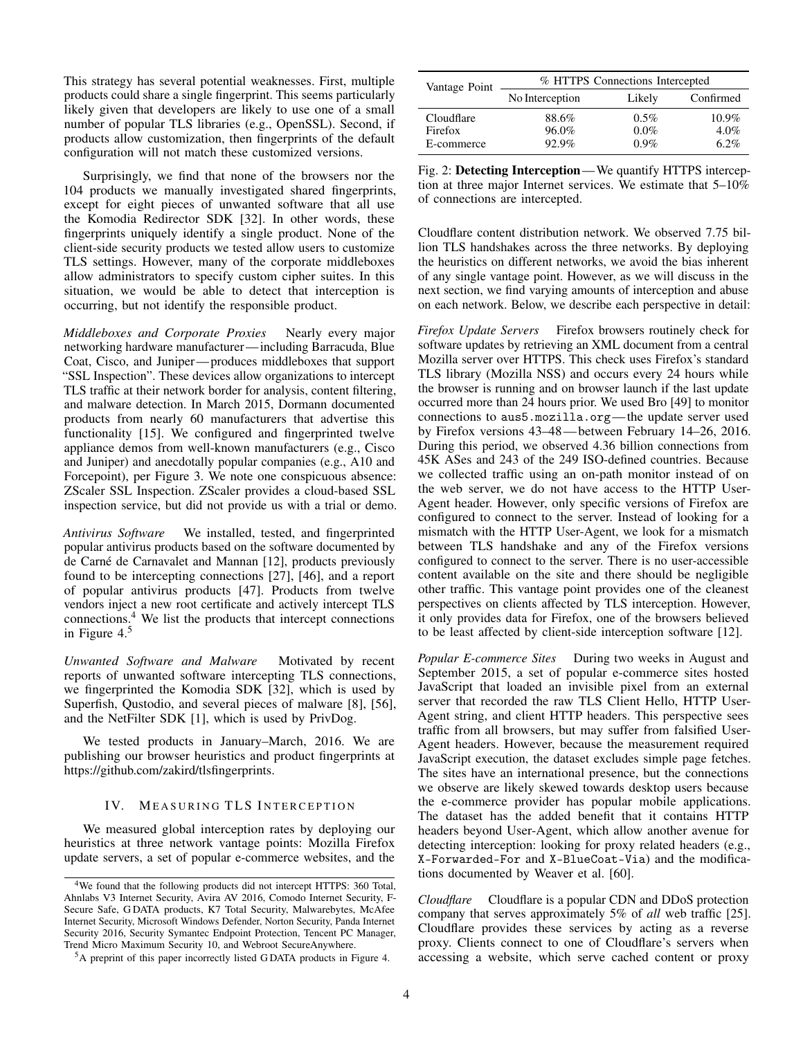This strategy has several potential weaknesses. First, multiple products could share a single fingerprint. This seems particularly likely given that developers are likely to use one of a small number of popular TLS libraries (e.g., OpenSSL). Second, if products allow customization, then fingerprints of the default configuration will not match these customized versions.

Surprisingly, we find that none of the browsers nor the 104 products we manually investigated shared fingerprints, except for eight pieces of unwanted software that all use the Komodia Redirector SDK [\[32\]](#page-13-23). In other words, these fingerprints uniquely identify a single product. None of the client-side security products we tested allow users to customize TLS settings. However, many of the corporate middleboxes allow administrators to specify custom cipher suites. In this situation, we would be able to detect that interception is occurring, but not identify the responsible product.

*Middleboxes and Corporate Proxies* Nearly every major networking hardware manufacturer—including Barracuda, Blue Coat, Cisco, and Juniper— produces middleboxes that support "SSL Inspection". These devices allow organizations to intercept TLS traffic at their network border for analysis, content filtering, and malware detection. In March 2015, Dormann documented products from nearly 60 manufacturers that advertise this functionality [\[15\]](#page-12-3). We configured and fingerprinted twelve appliance demos from well-known manufacturers (e.g., Cisco and Juniper) and anecdotally popular companies (e.g., A10 and Forcepoint), per Figure [3.](#page-4-0) We note one conspicuous absence: ZScaler SSL Inspection. ZScaler provides a cloud-based SSL inspection service, but did not provide us with a trial or demo.

*Antivirus Software* We installed, tested, and fingerprinted popular antivirus products based on the software documented by de Carné de Carnavalet and Mannan [\[12\]](#page-12-2), products previously found to be intercepting connections [\[27\]](#page-13-5), [\[46\]](#page-13-7), and a report of popular antivirus products [\[47\]](#page-13-24). Products from twelve vendors inject a new root certificate and actively intercept TLS connections.[4](#page-3-0) We list the products that intercept connections in Figure [4.](#page-4-1) [5](#page-3-1)

*Unwanted Software and Malware* Motivated by recent reports of unwanted software intercepting TLS connections, we fingerprinted the Komodia SDK [\[32\]](#page-13-23), which is used by Superfish, Qustodio, and several pieces of malware [\[8\]](#page-12-8), [\[56\]](#page-13-25), and the NetFilter SDK [\[1\]](#page-12-9), which is used by PrivDog.

We tested products in January–March, 2016. We are publishing our browser heuristics and product fingerprints at [https://github.com/zakird/tlsfingerprints.](https://github.com/zakird/tlsfingerprints)

#### IV. MEASURING TLS INTERCEPTION

We measured global interception rates by deploying our heuristics at three network vantage points: Mozilla Firefox update servers, a set of popular e-commerce websites, and the

<span id="page-3-2"></span>

| Vantage Point | % HTTPS Connections Intercepted |         |           |  |  |  |
|---------------|---------------------------------|---------|-----------|--|--|--|
|               | No Interception                 | Likely  | Confirmed |  |  |  |
| Cloudflare    | 88.6%                           | $0.5\%$ | $10.9\%$  |  |  |  |
| Firefox       | 96.0%                           | $0.0\%$ | $4.0\%$   |  |  |  |
| E-commerce    | 92.9%                           | $0.9\%$ | 6.2%      |  |  |  |

Fig. 2: Detecting Interception—We quantify HTTPS interception at three major Internet services. We estimate that 5–10% of connections are intercepted.

Cloudflare content distribution network. We observed 7.75 billion TLS handshakes across the three networks. By deploying the heuristics on different networks, we avoid the bias inherent of any single vantage point. However, as we will discuss in the next section, we find varying amounts of interception and abuse on each network. Below, we describe each perspective in detail:

*Firefox Update Servers* Firefox browsers routinely check for software updates by retrieving an XML document from a central Mozilla server over HTTPS. This check uses Firefox's standard TLS library (Mozilla NSS) and occurs every 24 hours while the browser is running and on browser launch if the last update occurred more than 24 hours prior. We used Bro [\[49\]](#page-13-26) to monitor connections to aus5.mozilla.org—the update server used by Firefox versions 43–48— between February 14–26, 2016. During this period, we observed 4.36 billion connections from 45K ASes and 243 of the 249 ISO-defined countries. Because we collected traffic using an on-path monitor instead of on the web server, we do not have access to the HTTP User-Agent header. However, only specific versions of Firefox are configured to connect to the server. Instead of looking for a mismatch with the HTTP User-Agent, we look for a mismatch between TLS handshake and any of the Firefox versions configured to connect to the server. There is no user-accessible content available on the site and there should be negligible other traffic. This vantage point provides one of the cleanest perspectives on clients affected by TLS interception. However, it only provides data for Firefox, one of the browsers believed to be least affected by client-side interception software [\[12\]](#page-12-2).

*Popular E-commerce Sites* During two weeks in August and September 2015, a set of popular e-commerce sites hosted JavaScript that loaded an invisible pixel from an external server that recorded the raw TLS Client Hello, HTTP User-Agent string, and client HTTP headers. This perspective sees traffic from all browsers, but may suffer from falsified User-Agent headers. However, because the measurement required JavaScript execution, the dataset excludes simple page fetches. The sites have an international presence, but the connections we observe are likely skewed towards desktop users because the e-commerce provider has popular mobile applications. The dataset has the added benefit that it contains HTTP headers beyond User-Agent, which allow another avenue for detecting interception: looking for proxy related headers (e.g., X-Forwarded-For and X-BlueCoat-Via) and the modifications documented by Weaver et al. [\[60\]](#page-13-27).

*Cloudflare* Cloudflare is a popular CDN and DDoS protection company that serves approximately 5% of *all* web traffic [\[25\]](#page-13-28). Cloudflare provides these services by acting as a reverse proxy. Clients connect to one of Cloudflare's servers when accessing a website, which serve cached content or proxy

<span id="page-3-0"></span><sup>4</sup>We found that the following products did not intercept HTTPS: 360 Total, Ahnlabs V3 Internet Security, Avira AV 2016, Comodo Internet Security, F-Secure Safe, G DATA products, K7 Total Security, Malwarebytes, McAfee Internet Security, Microsoft Windows Defender, Norton Security, Panda Internet Security 2016, Security Symantec Endpoint Protection, Tencent PC Manager, Trend Micro Maximum Security 10, and Webroot SecureAnywhere.

<span id="page-3-1"></span><sup>&</sup>lt;sup>5</sup>A preprint of this paper incorrectly listed GDATA products in Figure [4.](#page-4-1)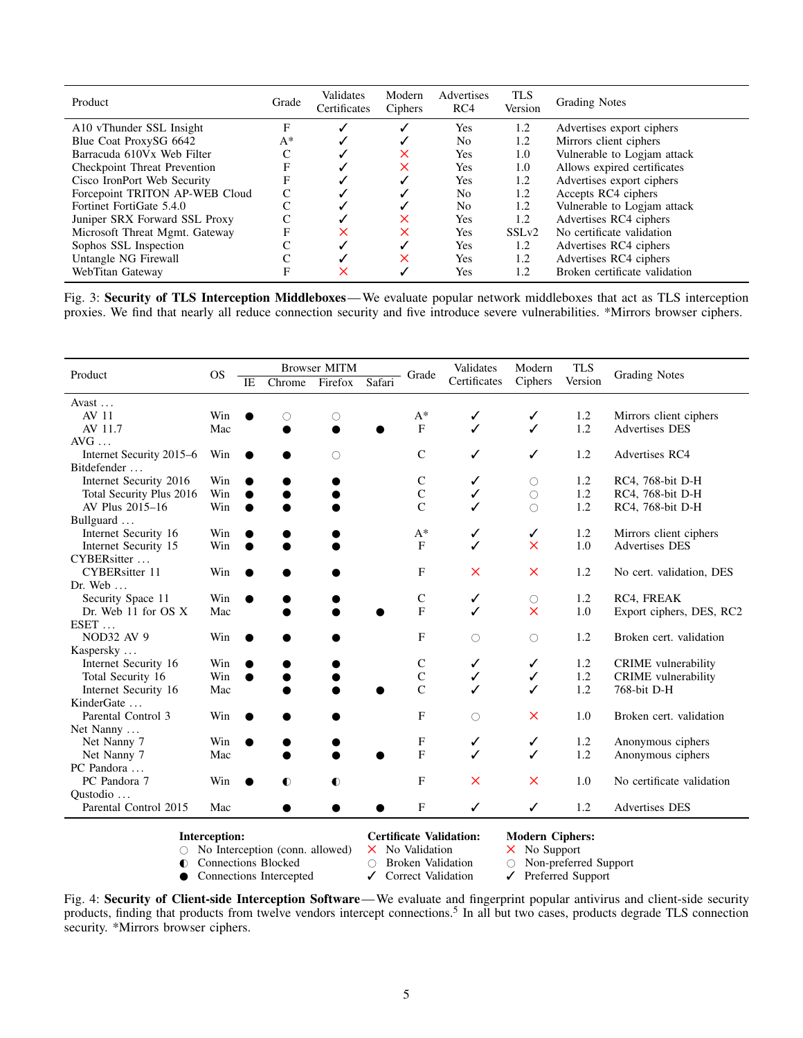<span id="page-4-0"></span>

| Product                             | Grade | Validates<br>Certificates | Modern<br>Ciphers | Advertises<br>RC4 | <b>TLS</b><br>Version | <b>Grading Notes</b>          |
|-------------------------------------|-------|---------------------------|-------------------|-------------------|-----------------------|-------------------------------|
| A10 vThunder SSL Insight            | F     |                           |                   | Yes               | 1.2                   | Advertises export ciphers     |
| Blue Coat ProxySG 6642              | $A^*$ |                           |                   | N <sub>0</sub>    | 1.2                   | Mirrors client ciphers        |
| Barracuda 610Vx Web Filter          | C     |                           | X                 | Yes               | 1.0                   | Vulnerable to Logjam attack   |
| <b>Checkpoint Threat Prevention</b> | F     |                           | X                 | Yes               | 1.0                   | Allows expired certificates   |
| Cisco IronPort Web Security         | F     |                           |                   | Yes               | 1.2                   | Advertises export ciphers     |
| Forcepoint TRITON AP-WEB Cloud      | C     |                           |                   | No                | 1.2                   | Accepts RC4 ciphers           |
| Fortinet FortiGate 5.4.0            | C     |                           |                   | N <sub>0</sub>    | 1.2                   | Vulnerable to Logjam attack   |
| Juniper SRX Forward SSL Proxy       | C     |                           | X                 | Yes               | 1.2                   | Advertises RC4 ciphers        |
| Microsoft Threat Mgmt. Gateway      | F     | ×                         | X                 | Yes               | SSL <sub>v2</sub>     | No certificate validation     |
| Sophos SSL Inspection               |       |                           |                   | Yes               | 1.2                   | Advertises RC4 ciphers        |
| Untangle NG Firewall                | C     |                           | ×                 | Yes               | 1.2                   | Advertises RC4 ciphers        |
| WebTitan Gateway                    | F     | ×                         |                   | Yes               | 1.2                   | Broken certificate validation |

Fig. 3: Security of TLS Interception Middleboxes—We evaluate popular network middleboxes that act as TLS interception proxies. We find that nearly all reduce connection security and five introduce severe vulnerabilities. \*Mirrors browser ciphers.

<span id="page-4-1"></span>

| Product                           | <b>OS</b> | <b>Browser MITM</b> |           |            | Grade  | Validates           | Modern       | <b>TLS</b>          | <b>Grading Notes</b> |                            |
|-----------------------------------|-----------|---------------------|-----------|------------|--------|---------------------|--------------|---------------------|----------------------|----------------------------|
|                                   |           | IE                  | Chrome    | Firefox    | Safari |                     | Certificates | Ciphers             | Version              |                            |
| Avast                             |           |                     |           |            |        |                     |              |                     |                      |                            |
| AV 11                             | Win       |                     | O         | U          |        | $A^*$               | ✓            | ✓                   | 1.2                  | Mirrors client ciphers     |
| AV 11.7                           | Mac       |                     |           |            |        | F                   | ✓            | ✓                   | 1.2                  | <b>Advertises DES</b>      |
| $AVG$                             |           |                     |           |            |        |                     |              |                     |                      |                            |
| Internet Security 2015-6          | Win       |                     |           | $\bigcirc$ |        | $\mathsf{C}$        |              | ✓                   | 1.2                  | Advertises RC4             |
| Bitdefender                       |           |                     |           |            |        |                     |              |                     |                      |                            |
| Internet Security 2016            | Win       |                     |           |            |        | C                   | ✓            | $\circlearrowright$ | 1.2                  | RC4, 768-bit D-H           |
| Total Security Plus 2016          | Win       |                     |           |            |        | $\mathbf C$         | ✓            | $\circlearrowright$ | 1.2                  | RC4, 768-bit D-H           |
| AV Plus 2015-16                   | Win       | $\bullet$           |           |            |        | $\overline{C}$      | ✓            | $\bigcirc$          | 1.2                  | RC4, 768-bit D-H           |
| Bullguard                         |           |                     |           |            |        |                     |              |                     |                      |                            |
| Internet Security 16              | Win       |                     |           |            |        | $A^*$               | ✓            | ✓                   | 1.2                  | Mirrors client ciphers     |
| Internet Security 15              | Win       |                     |           |            |        | $\overline{F}$      | ✓            | $\times$            | 1.0                  | <b>Advertises DES</b>      |
| CYBERsitter                       |           |                     |           |            |        |                     |              |                     |                      |                            |
| <b>CYBERsitter 11</b>             | Win       |                     |           |            |        | F                   | $\times$     | $\times$            | 1.2                  | No cert. validation, DES   |
| Dr. Web $\dots$                   |           |                     |           |            |        |                     |              |                     |                      |                            |
| Security Space 11                 | Win       |                     |           |            |        | $\mathsf{C}$        | ✓            | $\circlearrowright$ | 1.2                  | RC4, FREAK                 |
| Dr. Web 11 for OS X               | Mac       |                     |           |            |        | $\overline{F}$      | ✓            | $\times$            | 1.0                  | Export ciphers, DES, RC2   |
| $EST$                             |           |                     |           |            |        |                     |              |                     |                      |                            |
| <b>NOD32 AV 9</b>                 | Win       |                     |           |            |        | F                   | $\bigcirc$   | $\bigcirc$          | 1.2                  | Broken cert. validation    |
| Kaspersky                         |           |                     |           |            |        |                     |              |                     |                      |                            |
| Internet Security 16              | Win       |                     |           |            |        | $\mathsf{C}$        | ✓            | ✓                   | 1.2                  | CRIME vulnerability        |
| Total Security 16                 | Win       |                     |           |            |        | $\mathbf C$         | $\checkmark$ | $\checkmark$        | 1.2                  | <b>CRIME</b> vulnerability |
| Internet Security 16              | Mac       |                     |           |            |        | $\overline{C}$      |              | ✓                   | 1.2                  | 768-bit D-H                |
| KinderGate                        |           |                     |           |            |        |                     |              |                     |                      |                            |
| Parental Control 3                | Win       |                     |           |            |        | F                   | $\bigcirc$   | $\times$            | 1.0                  | Broken cert. validation    |
| Net Nanny                         |           |                     |           |            |        |                     |              |                     |                      |                            |
| Net Nanny 7                       | Win       |                     |           |            |        | F<br>$\overline{F}$ | ✓            | ✓                   | 1.2                  | Anonymous ciphers          |
| Net Nanny 7                       | Mac       |                     |           |            |        |                     | ✓            | ✓                   | 1.2                  | Anonymous ciphers          |
| PC Pandora                        |           |                     |           |            |        |                     |              |                     |                      |                            |
| PC Pandora 7                      | Win       | $\bullet$           | $\bullet$ | $\bullet$  |        | F                   | $\times$     | $\times$            | 1.0                  | No certificate validation  |
| Qustodio<br>Parental Control 2015 | Mac       |                     |           |            |        | F                   | ✓            | ✓                   | 1.2                  | <b>Advertises DES</b>      |
|                                   |           |                     |           |            |        |                     |              |                     |                      |                            |

**Interception:** Certificate Validation: Modern Ciphers:  $\bigcirc$  No Interception (conn. allowed)  $\times$  No Validation  $\times$  No Support

 $\circ$  No Interception (conn. allowed)  $\times$  No Validation  $\times$  No Support  $\circ$  Connections Blocked  $\circ$  Broken Validation  $\circ$  Non-preferred Support

● Connections Intercepted

● Connections Blocked 
→ Connections Intercepted → Correct Validation → Preferred Support

Fig. 4: Security of Client-side Interception Software—We evaluate and fingerprint popular antivirus and client-side security products, finding that products from twelve vendors intercept connections.<sup>5</sup> In all but two cases, products degrade TLS connection security. \*Mirrors browser ciphers.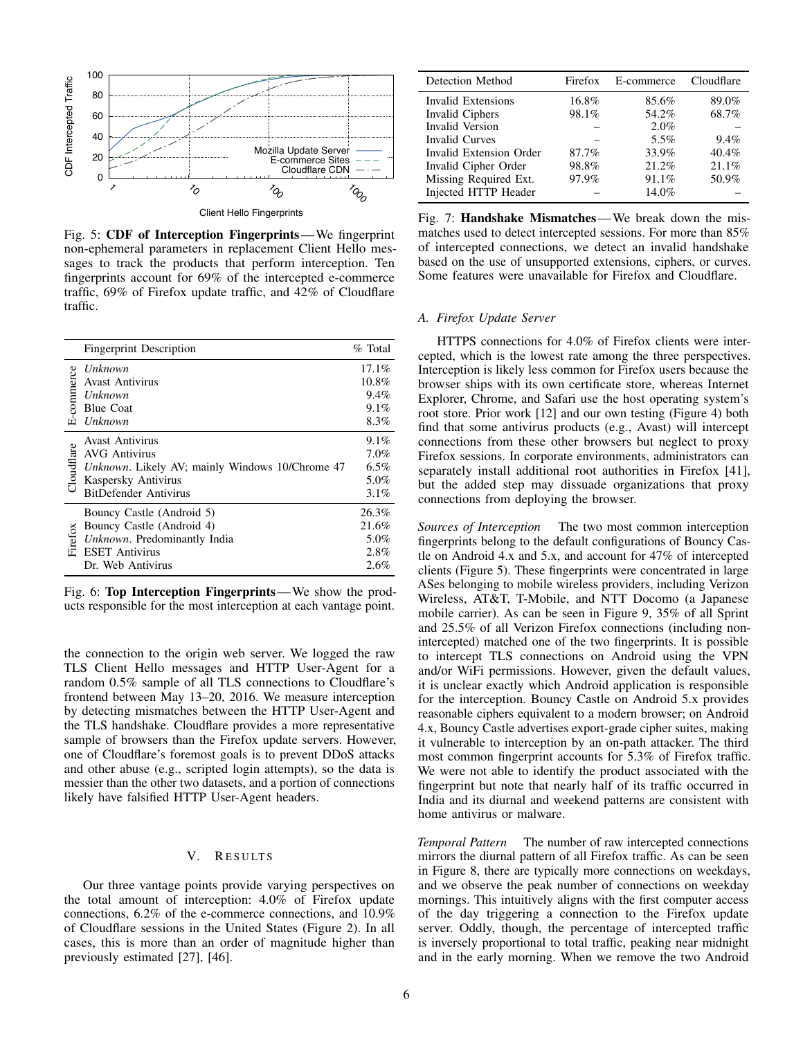<span id="page-5-0"></span>

Fig. 5: CDF of Interception Fingerprints—We fingerprint non-ephemeral parameters in replacement Client Hello messages to track the products that perform interception. Ten fingerprints account for 69% of the intercepted e-commerce traffic, 69% of Firefox update traffic, and 42% of Cloudflare traffic.

|            | <b>Fingerprint Description</b>                                                                                                                                   | % Total                                       |
|------------|------------------------------------------------------------------------------------------------------------------------------------------------------------------|-----------------------------------------------|
| E-commerce | Unknown<br><b>Avast Antivirus</b><br>Unknown<br><b>Blue Coat</b><br>Unknown                                                                                      | 17.1%<br>10.8%<br>$9.4\%$<br>$9.1\%$<br>8.3%  |
| Cloudflare | <b>Avast Antivirus</b><br><b>AVG Antivirus</b><br><i>Unknown</i> . Likely AV; mainly Windows 10/Chrome 47<br>Kaspersky Antivirus<br><b>BitDefender Antivirus</b> | $9.1\%$<br>7.0%<br>$6.5\%$<br>5.0%<br>$3.1\%$ |
| $F$ irefox | Bouncy Castle (Android 5)<br>Bouncy Castle (Android 4)<br>Unknown. Predominantly India<br><b>ESET Antivirus</b><br>Dr. Web Antivirus                             | 26.3%<br>21.6%<br>5.0%<br>2.8%<br>$2.6\%$     |

Fig. 6: Top Interception Fingerprints—We show the products responsible for the most interception at each vantage point.

the connection to the origin web server. We logged the raw TLS Client Hello messages and HTTP User-Agent for a random 0.5% sample of all TLS connections to Cloudflare's frontend between May 13–20, 2016. We measure interception by detecting mismatches between the HTTP User-Agent and the TLS handshake. Cloudflare provides a more representative sample of browsers than the Firefox update servers. However, one of Cloudflare's foremost goals is to prevent DDoS attacks and other abuse (e.g., scripted login attempts), so the data is messier than the other two datasets, and a portion of connections likely have falsified HTTP User-Agent headers.

#### V. RESULTS

Our three vantage points provide varying perspectives on the total amount of interception: 4.0% of Firefox update connections, 6.2% of the e-commerce connections, and 10.9% of Cloudflare sessions in the United States (Figure [2\)](#page-3-2). In all cases, this is more than an order of magnitude higher than previously estimated [\[27\]](#page-13-5), [\[46\]](#page-13-7).

<span id="page-5-1"></span>

| Detection Method        | Firefox | E-commerce | Cloudflare |
|-------------------------|---------|------------|------------|
| Invalid Extensions      | 16.8%   | 85.6%      | 89.0%      |
| Invalid Ciphers         | 98.1%   | 54.2%      | 68.7%      |
| <b>Invalid Version</b>  |         | $2.0\%$    |            |
| <b>Invalid Curves</b>   |         | 5.5%       | 9.4%       |
| Invalid Extension Order | 87.7%   | 33.9%      | 40.4%      |
| Invalid Cipher Order    | 98.8%   | 21.2%      | 21.1%      |
| Missing Required Ext.   | 97.9%   | 91.1%      | 50.9%      |
| Injected HTTP Header    |         | 14.0%      |            |

Fig. 7: Handshake Mismatches—We break down the mismatches used to detect intercepted sessions. For more than 85% of intercepted connections, we detect an invalid handshake based on the use of unsupported extensions, ciphers, or curves. Some features were unavailable for Firefox and Cloudflare.

#### *A. Firefox Update Server*

HTTPS connections for 4.0% of Firefox clients were intercepted, which is the lowest rate among the three perspectives. Interception is likely less common for Firefox users because the browser ships with its own certificate store, whereas Internet Explorer, Chrome, and Safari use the host operating system's root store. Prior work [\[12\]](#page-12-2) and our own testing (Figure [4\)](#page-4-1) both find that some antivirus products (e.g., Avast) will intercept connections from these other browsers but neglect to proxy Firefox sessions. In corporate environments, administrators can separately install additional root authorities in Firefox [\[41\]](#page-13-29), but the added step may dissuade organizations that proxy connections from deploying the browser.

*Sources of Interception* The two most common interception fingerprints belong to the default configurations of Bouncy Castle on Android 4.x and 5.x, and account for 47% of intercepted clients (Figure [5\)](#page-5-0). These fingerprints were concentrated in large ASes belonging to mobile wireless providers, including Verizon Wireless, AT&T, T-Mobile, and NTT Docomo (a Japanese mobile carrier). As can be seen in Figure [9,](#page-6-0) 35% of all Sprint and 25.5% of all Verizon Firefox connections (including nonintercepted) matched one of the two fingerprints. It is possible to intercept TLS connections on Android using the VPN and/or WiFi permissions. However, given the default values, it is unclear exactly which Android application is responsible for the interception. Bouncy Castle on Android 5.x provides reasonable ciphers equivalent to a modern browser; on Android 4.x, Bouncy Castle advertises export-grade cipher suites, making it vulnerable to interception by an on-path attacker. The third most common fingerprint accounts for 5.3% of Firefox traffic. We were not able to identify the product associated with the fingerprint but note that nearly half of its traffic occurred in India and its diurnal and weekend patterns are consistent with home antivirus or malware.

*Temporal Pattern* The number of raw intercepted connections mirrors the diurnal pattern of all Firefox traffic. As can be seen in Figure [8,](#page-6-1) there are typically more connections on weekdays, and we observe the peak number of connections on weekday mornings. This intuitively aligns with the first computer access of the day triggering a connection to the Firefox update server. Oddly, though, the percentage of intercepted traffic is inversely proportional to total traffic, peaking near midnight and in the early morning. When we remove the two Android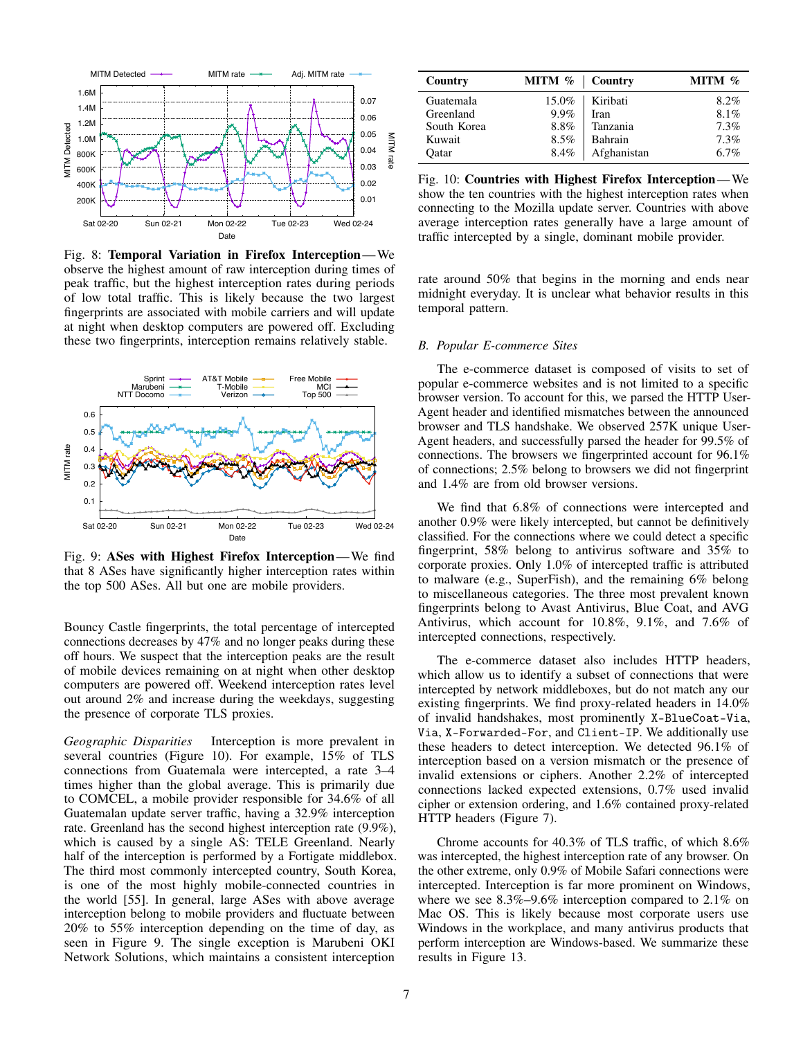<span id="page-6-1"></span>

Fig. 8: Temporal Variation in Firefox Interception—We observe the highest amount of raw interception during times of peak traffic, but the highest interception rates during periods of low total traffic. This is likely because the two largest fingerprints are associated with mobile carriers and will update at night when desktop computers are powered off. Excluding these two fingerprints, interception remains relatively stable.

<span id="page-6-0"></span>

Fig. 9: ASes with Highest Firefox Interception—We find that 8 ASes have significantly higher interception rates within the top 500 ASes. All but one are mobile providers.

Bouncy Castle fingerprints, the total percentage of intercepted connections decreases by 47% and no longer peaks during these off hours. We suspect that the interception peaks are the result of mobile devices remaining on at night when other desktop computers are powered off. Weekend interception rates level out around 2% and increase during the weekdays, suggesting the presence of corporate TLS proxies.

*Geographic Disparities* Interception is more prevalent in several countries (Figure [10\)](#page-6-2). For example, 15% of TLS connections from Guatemala were intercepted, a rate 3–4 times higher than the global average. This is primarily due to COMCEL, a mobile provider responsible for 34.6% of all Guatemalan update server traffic, having a 32.9% interception rate. Greenland has the second highest interception rate (9.9%), which is caused by a single AS: TELE Greenland. Nearly half of the interception is performed by a Fortigate middlebox. The third most commonly intercepted country, South Korea, is one of the most highly mobile-connected countries in the world [\[55\]](#page-13-30). In general, large ASes with above average interception belong to mobile providers and fluctuate between 20% to 55% interception depending on the time of day, as seen in Figure [9.](#page-6-0) The single exception is Marubeni OKI Network Solutions, which maintains a consistent interception

<span id="page-6-2"></span>

| Country     | MITM %   Country |             | MITM $%$ |
|-------------|------------------|-------------|----------|
| Guatemala   | 15.0%            | Kiribati    | $8.2\%$  |
| Greenland   | $9.9\%$          | Iran        | 8.1%     |
| South Korea | 8.8%             | Tanzania    | 7.3%     |
| Kuwait      | $8.5\%$          | Bahrain     | 7.3%     |
| Oatar       | 8.4%             | Afghanistan | 6.7%     |

Fig. 10: Countries with Highest Firefox Interception—We show the ten countries with the highest interception rates when connecting to the Mozilla update server. Countries with above average interception rates generally have a large amount of traffic intercepted by a single, dominant mobile provider.

rate around 50% that begins in the morning and ends near midnight everyday. It is unclear what behavior results in this temporal pattern.

#### *B. Popular E-commerce Sites*

The e-commerce dataset is composed of visits to set of popular e-commerce websites and is not limited to a specific browser version. To account for this, we parsed the HTTP User-Agent header and identified mismatches between the announced browser and TLS handshake. We observed 257K unique User-Agent headers, and successfully parsed the header for 99.5% of connections. The browsers we fingerprinted account for 96.1% of connections; 2.5% belong to browsers we did not fingerprint and 1.4% are from old browser versions.

We find that 6.8% of connections were intercepted and another 0.9% were likely intercepted, but cannot be definitively classified. For the connections where we could detect a specific fingerprint, 58% belong to antivirus software and 35% to corporate proxies. Only 1.0% of intercepted traffic is attributed to malware (e.g., SuperFish), and the remaining 6% belong to miscellaneous categories. The three most prevalent known fingerprints belong to Avast Antivirus, Blue Coat, and AVG Antivirus, which account for 10.8%, 9.1%, and 7.6% of intercepted connections, respectively.

The e-commerce dataset also includes HTTP headers, which allow us to identify a subset of connections that were intercepted by network middleboxes, but do not match any our existing fingerprints. We find proxy-related headers in 14.0% of invalid handshakes, most prominently X-BlueCoat-Via, Via, X-Forwarded-For, and Client-IP. We additionally use these headers to detect interception. We detected 96.1% of interception based on a version mismatch or the presence of invalid extensions or ciphers. Another 2.2% of intercepted connections lacked expected extensions, 0.7% used invalid cipher or extension ordering, and 1.6% contained proxy-related HTTP headers (Figure [7\)](#page-5-1).

Chrome accounts for 40.3% of TLS traffic, of which 8.6% was intercepted, the highest interception rate of any browser. On the other extreme, only 0.9% of Mobile Safari connections were intercepted. Interception is far more prominent on Windows, where we see 8.3%–9.6% interception compared to 2.1% on Mac OS. This is likely because most corporate users use Windows in the workplace, and many antivirus products that perform interception are Windows-based. We summarize these results in Figure [13.](#page-8-0)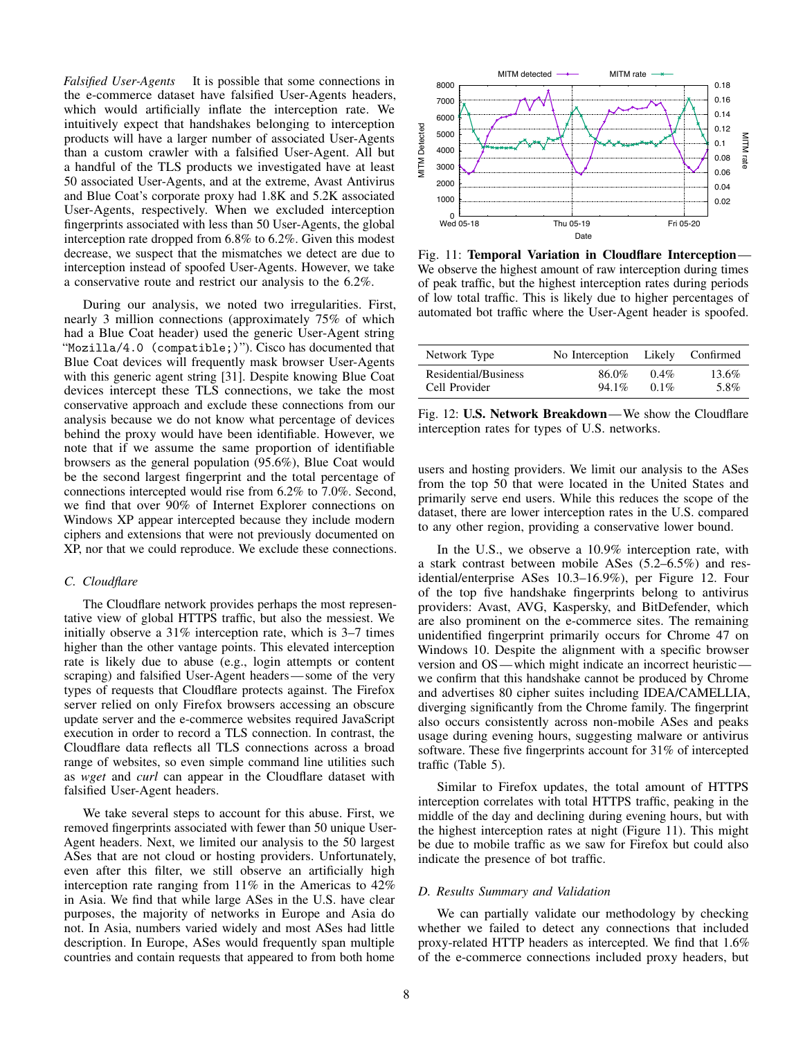*Falsified User-Agents* It is possible that some connections in the e-commerce dataset have falsified User-Agents headers, which would artificially inflate the interception rate. We intuitively expect that handshakes belonging to interception products will have a larger number of associated User-Agents than a custom crawler with a falsified User-Agent. All but a handful of the TLS products we investigated have at least 50 associated User-Agents, and at the extreme, Avast Antivirus and Blue Coat's corporate proxy had 1.8K and 5.2K associated User-Agents, respectively. When we excluded interception fingerprints associated with less than 50 User-Agents, the global interception rate dropped from 6.8% to 6.2%. Given this modest decrease, we suspect that the mismatches we detect are due to interception instead of spoofed User-Agents. However, we take a conservative route and restrict our analysis to the 6.2%.

During our analysis, we noted two irregularities. First, nearly 3 million connections (approximately 75% of which had a Blue Coat header) used the generic User-Agent string "Mozilla/4.0 (compatible;)"). Cisco has documented that Blue Coat devices will frequently mask browser User-Agents with this generic agent string [\[31\]](#page-13-31). Despite knowing Blue Coat devices intercept these TLS connections, we take the most conservative approach and exclude these connections from our analysis because we do not know what percentage of devices behind the proxy would have been identifiable. However, we note that if we assume the same proportion of identifiable browsers as the general population (95.6%), Blue Coat would be the second largest fingerprint and the total percentage of connections intercepted would rise from 6.2% to 7.0%. Second, we find that over 90% of Internet Explorer connections on Windows XP appear intercepted because they include modern ciphers and extensions that were not previously documented on XP, nor that we could reproduce. We exclude these connections.

### *C. Cloudflare*

The Cloudflare network provides perhaps the most representative view of global HTTPS traffic, but also the messiest. We initially observe a 31% interception rate, which is 3–7 times higher than the other vantage points. This elevated interception rate is likely due to abuse (e.g., login attempts or content scraping) and falsified User-Agent headers— some of the very types of requests that Cloudflare protects against. The Firefox server relied on only Firefox browsers accessing an obscure update server and the e-commerce websites required JavaScript execution in order to record a TLS connection. In contrast, the Cloudflare data reflects all TLS connections across a broad range of websites, so even simple command line utilities such as *wget* and *curl* can appear in the Cloudflare dataset with falsified User-Agent headers.

We take several steps to account for this abuse. First, we removed fingerprints associated with fewer than 50 unique User-Agent headers. Next, we limited our analysis to the 50 largest ASes that are not cloud or hosting providers. Unfortunately, even after this filter, we still observe an artificially high interception rate ranging from 11% in the Americas to 42% in Asia. We find that while large ASes in the U.S. have clear purposes, the majority of networks in Europe and Asia do not. In Asia, numbers varied widely and most ASes had little description. In Europe, ASes would frequently span multiple countries and contain requests that appeared to from both home

<span id="page-7-0"></span>

Fig. 11: Temporal Variation in Cloudflare Interception— We observe the highest amount of raw interception during times of peak traffic, but the highest interception rates during periods of low total traffic. This is likely due to higher percentages of automated bot traffic where the User-Agent header is spoofed.

| Network Type         | No Interception Likely |         | Confirmed |
|----------------------|------------------------|---------|-----------|
| Residential/Business | 86.0%                  | $0.4\%$ | 13.6%     |
| Cell Provider        | 94.1%                  | $0.1\%$ | 5.8%      |

Fig. 12: U.S. Network Breakdown—We show the Cloudflare interception rates for types of U.S. networks.

users and hosting providers. We limit our analysis to the ASes from the top 50 that were located in the United States and primarily serve end users. While this reduces the scope of the dataset, there are lower interception rates in the U.S. compared to any other region, providing a conservative lower bound.

In the U.S., we observe a 10.9% interception rate, with a stark contrast between mobile ASes (5.2–6.5%) and residential/enterprise ASes 10.3–16.9%), per Figure [12.](#page-7-0) Four of the top five handshake fingerprints belong to antivirus providers: Avast, AVG, Kaspersky, and BitDefender, which are also prominent on the e-commerce sites. The remaining unidentified fingerprint primarily occurs for Chrome 47 on Windows 10. Despite the alignment with a specific browser version and OS— which might indicate an incorrect heuristic we confirm that this handshake cannot be produced by Chrome and advertises 80 cipher suites including IDEA/CAMELLIA, diverging significantly from the Chrome family. The fingerprint also occurs consistently across non-mobile ASes and peaks usage during evening hours, suggesting malware or antivirus software. These five fingerprints account for 31% of intercepted traffic (Table [5\)](#page-5-0).

Similar to Firefox updates, the total amount of HTTPS interception correlates with total HTTPS traffic, peaking in the middle of the day and declining during evening hours, but with the highest interception rates at night (Figure [11\)](#page-7-0). This might be due to mobile traffic as we saw for Firefox but could also indicate the presence of bot traffic.

#### *D. Results Summary and Validation*

We can partially validate our methodology by checking whether we failed to detect any connections that included proxy-related HTTP headers as intercepted. We find that 1.6% of the e-commerce connections included proxy headers, but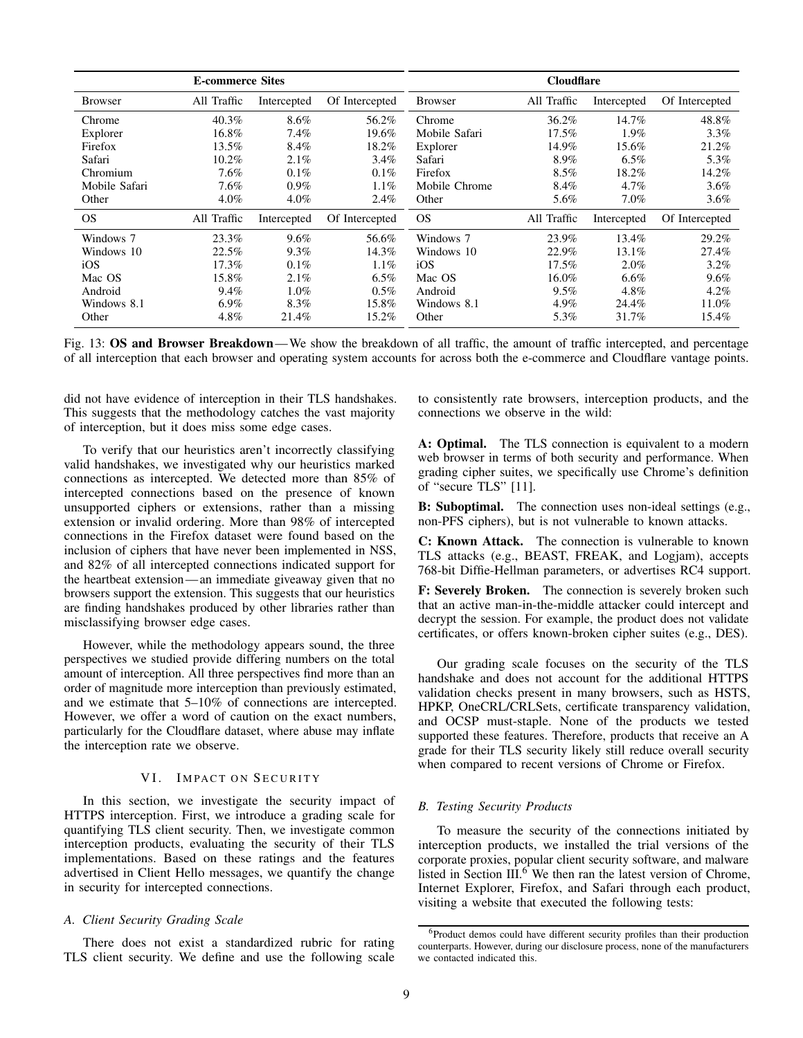<span id="page-8-0"></span>

| <b>E-commerce Sites</b> |             |             | <b>Cloudflare</b> |                |             |             |                |
|-------------------------|-------------|-------------|-------------------|----------------|-------------|-------------|----------------|
| <b>Browser</b>          | All Traffic | Intercepted | Of Intercepted    | <b>Browser</b> | All Traffic | Intercepted | Of Intercepted |
| Chrome                  | 40.3%       | 8.6%        | 56.2%             | Chrome         | 36.2%       | 14.7%       | 48.8%          |
| Explorer                | 16.8%       | 7.4%        | 19.6%             | Mobile Safari  | $17.5\%$    | 1.9%        | 3.3%           |
| Firefox                 | 13.5%       | 8.4%        | 18.2%             | Explorer       | 14.9%       | 15.6%       | 21.2%          |
| Safari                  | 10.2%       | 2.1%        | $3.4\%$           | Safari         | 8.9%        | $6.5\%$     | 5.3%           |
| Chromium                | $7.6\%$     | $0.1\%$     | $0.1\%$           | Firefox        | $8.5\%$     | 18.2%       | 14.2%          |
| Mobile Safari           | $7.6\%$     | $0.9\%$     | $1.1\%$           | Mobile Chrome  | 8.4%        | $4.7\%$     | 3.6%           |
| Other                   | $4.0\%$     | $4.0\%$     | 2.4%              | Other          | 5.6%        | $7.0\%$     | 3.6%           |
| <b>OS</b>               | All Traffic | Intercepted | Of Intercepted    | <b>OS</b>      | All Traffic | Intercepted | Of Intercepted |
| Windows 7               | 23.3%       | 9.6%        | 56.6%             | Windows 7      | 23.9%       | 13.4%       | 29.2%          |
| Windows 10              | 22.5%       | 9.3%        | 14.3%             | Windows 10     | 22.9%       | 13.1%       | 27.4%          |
| iOS                     | 17.3%       | $0.1\%$     | $1.1\%$           | iOS            | $17.5\%$    | 2.0%        | $3.2\%$        |
| Mac OS                  | 15.8%       | 2.1%        | $6.5\%$           | Mac OS         | 16.0%       | $6.6\%$     | $9.6\%$        |
| Android                 | $9.4\%$     | $1.0\%$     | $0.5\%$           | Android        | $9.5\%$     | 4.8%        | $4.2\%$        |
| Windows 8.1             | $6.9\%$     | 8.3%        | 15.8%             | Windows 8.1    | $4.9\%$     | 24.4%       | 11.0%          |
| Other                   | $4.8\%$     | 21.4%       | 15.2%             | Other          | 5.3%        | 31.7%       | 15.4%          |

Fig. 13: OS and Browser Breakdown—We show the breakdown of all traffic, the amount of traffic intercepted, and percentage of all interception that each browser and operating system accounts for across both the e-commerce and Cloudflare vantage points.

did not have evidence of interception in their TLS handshakes. This suggests that the methodology catches the vast majority of interception, but it does miss some edge cases.

To verify that our heuristics aren't incorrectly classifying valid handshakes, we investigated why our heuristics marked connections as intercepted. We detected more than 85% of intercepted connections based on the presence of known unsupported ciphers or extensions, rather than a missing extension or invalid ordering. More than 98% of intercepted connections in the Firefox dataset were found based on the inclusion of ciphers that have never been implemented in NSS, and 82% of all intercepted connections indicated support for the heartbeat extension— an immediate giveaway given that no browsers support the extension. This suggests that our heuristics are finding handshakes produced by other libraries rather than misclassifying browser edge cases.

However, while the methodology appears sound, the three perspectives we studied provide differing numbers on the total amount of interception. All three perspectives find more than an order of magnitude more interception than previously estimated, and we estimate that 5–10% of connections are intercepted. However, we offer a word of caution on the exact numbers, particularly for the Cloudflare dataset, where abuse may inflate the interception rate we observe.

### VI. IMPACT ON SECURITY

In this section, we investigate the security impact of HTTPS interception. First, we introduce a grading scale for quantifying TLS client security. Then, we investigate common interception products, evaluating the security of their TLS implementations. Based on these ratings and the features advertised in Client Hello messages, we quantify the change in security for intercepted connections.

#### *A. Client Security Grading Scale*

There does not exist a standardized rubric for rating TLS client security. We define and use the following scale to consistently rate browsers, interception products, and the connections we observe in the wild:

A: Optimal. The TLS connection is equivalent to a modern web browser in terms of both security and performance. When grading cipher suites, we specifically use Chrome's definition of "secure TLS" [\[11\]](#page-12-10).

B: Suboptimal. The connection uses non-ideal settings (e.g., non-PFS ciphers), but is not vulnerable to known attacks.

C: Known Attack. The connection is vulnerable to known TLS attacks (e.g., BEAST, FREAK, and Logjam), accepts 768-bit Diffie-Hellman parameters, or advertises RC4 support.

F: Severely Broken. The connection is severely broken such that an active man-in-the-middle attacker could intercept and decrypt the session. For example, the product does not validate certificates, or offers known-broken cipher suites (e.g., DES).

Our grading scale focuses on the security of the TLS handshake and does not account for the additional HTTPS validation checks present in many browsers, such as HSTS, HPKP, OneCRL/CRLSets, certificate transparency validation, and OCSP must-staple. None of the products we tested supported these features. Therefore, products that receive an A grade for their TLS security likely still reduce overall security when compared to recent versions of Chrome or Firefox.

### *B. Testing Security Products*

To measure the security of the connections initiated by interception products, we installed the trial versions of the corporate proxies, popular client security software, and malware listed in Section  $III.^6$  $III.^6$  $III.^6$  We then ran the latest version of Chrome, Internet Explorer, Firefox, and Safari through each product, visiting a website that executed the following tests:

<span id="page-8-1"></span><sup>&</sup>lt;sup>6</sup>Product demos could have different security profiles than their production counterparts. However, during our disclosure process, none of the manufacturers we contacted indicated this.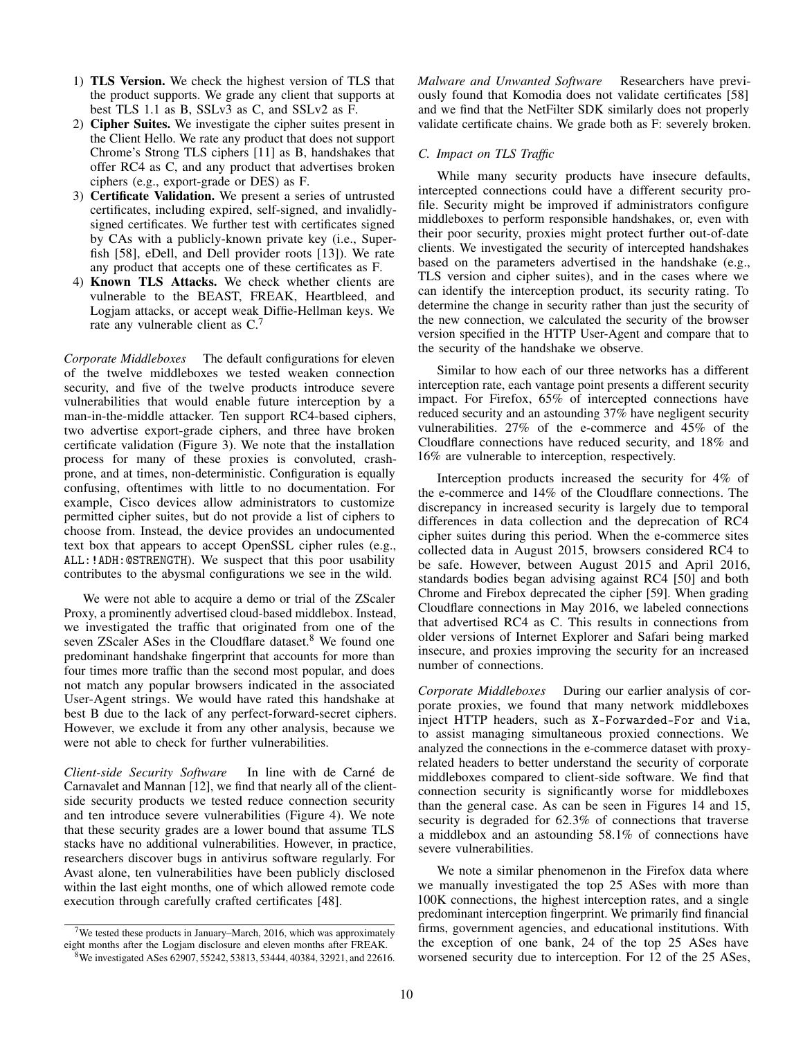- 1) TLS Version. We check the highest version of TLS that the product supports. We grade any client that supports at best TLS 1.1 as B, SSLv3 as C, and SSLv2 as F.
- 2) Cipher Suites. We investigate the cipher suites present in the Client Hello. We rate any product that does not support Chrome's Strong TLS ciphers [\[11\]](#page-12-10) as B, handshakes that offer RC4 as C, and any product that advertises broken ciphers (e.g., export-grade or DES) as F.
- 3) Certificate Validation. We present a series of untrusted certificates, including expired, self-signed, and invalidlysigned certificates. We further test with certificates signed by CAs with a publicly-known private key (i.e., Superfish [\[58\]](#page-13-6), eDell, and Dell provider roots [\[13\]](#page-12-11)). We rate any product that accepts one of these certificates as F.
- 4) Known TLS Attacks. We check whether clients are vulnerable to the BEAST, FREAK, Heartbleed, and Logjam attacks, or accept weak Diffie-Hellman keys. We rate any vulnerable client as C.[7](#page-9-0)

*Corporate Middleboxes* The default configurations for eleven of the twelve middleboxes we tested weaken connection security, and five of the twelve products introduce severe vulnerabilities that would enable future interception by a man-in-the-middle attacker. Ten support RC4-based ciphers, two advertise export-grade ciphers, and three have broken certificate validation (Figure [3\)](#page-4-0). We note that the installation process for many of these proxies is convoluted, crashprone, and at times, non-deterministic. Configuration is equally confusing, oftentimes with little to no documentation. For example, Cisco devices allow administrators to customize permitted cipher suites, but do not provide a list of ciphers to choose from. Instead, the device provides an undocumented text box that appears to accept OpenSSL cipher rules (e.g., ALL:!ADH:@STRENGTH). We suspect that this poor usability contributes to the abysmal configurations we see in the wild.

We were not able to acquire a demo or trial of the ZScaler Proxy, a prominently advertised cloud-based middlebox. Instead, we investigated the traffic that originated from one of the seven ZScaler ASes in the Cloudflare dataset.<sup>[8](#page-9-1)</sup> We found one predominant handshake fingerprint that accounts for more than four times more traffic than the second most popular, and does not match any popular browsers indicated in the associated User-Agent strings. We would have rated this handshake at best B due to the lack of any perfect-forward-secret ciphers. However, we exclude it from any other analysis, because we were not able to check for further vulnerabilities.

*Client-side Security Software* In line with de Carné de Carnavalet and Mannan [\[12\]](#page-12-2), we find that nearly all of the clientside security products we tested reduce connection security and ten introduce severe vulnerabilities (Figure [4\)](#page-4-1). We note that these security grades are a lower bound that assume TLS stacks have no additional vulnerabilities. However, in practice, researchers discover bugs in antivirus software regularly. For Avast alone, ten vulnerabilities have been publicly disclosed within the last eight months, one of which allowed remote code execution through carefully crafted certificates [\[48\]](#page-13-32).

<span id="page-9-1"></span><sup>8</sup>We investigated ASes 62907, 55242, 53813, 53444, 40384, 32921, and 22616.

*Malware and Unwanted Software* Researchers have previously found that Komodia does not validate certificates [\[58\]](#page-13-6) and we find that the NetFilter SDK similarly does not properly validate certificate chains. We grade both as F: severely broken.

## *C. Impact on TLS Traffic*

While many security products have insecure defaults, intercepted connections could have a different security profile. Security might be improved if administrators configure middleboxes to perform responsible handshakes, or, even with their poor security, proxies might protect further out-of-date clients. We investigated the security of intercepted handshakes based on the parameters advertised in the handshake (e.g., TLS version and cipher suites), and in the cases where we can identify the interception product, its security rating. To determine the change in security rather than just the security of the new connection, we calculated the security of the browser version specified in the HTTP User-Agent and compare that to the security of the handshake we observe.

Similar to how each of our three networks has a different interception rate, each vantage point presents a different security impact. For Firefox, 65% of intercepted connections have reduced security and an astounding 37% have negligent security vulnerabilities. 27% of the e-commerce and 45% of the Cloudflare connections have reduced security, and 18% and 16% are vulnerable to interception, respectively.

Interception products increased the security for 4% of the e-commerce and 14% of the Cloudflare connections. The discrepancy in increased security is largely due to temporal differences in data collection and the deprecation of RC4 cipher suites during this period. When the e-commerce sites collected data in August 2015, browsers considered RC4 to be safe. However, between August 2015 and April 2016, standards bodies began advising against RC4 [\[50\]](#page-13-33) and both Chrome and Firebox deprecated the cipher [\[59\]](#page-13-34). When grading Cloudflare connections in May 2016, we labeled connections that advertised RC4 as C. This results in connections from older versions of Internet Explorer and Safari being marked insecure, and proxies improving the security for an increased number of connections.

*Corporate Middleboxes* During our earlier analysis of corporate proxies, we found that many network middleboxes inject HTTP headers, such as X-Forwarded-For and Via, to assist managing simultaneous proxied connections. We analyzed the connections in the e-commerce dataset with proxyrelated headers to better understand the security of corporate middleboxes compared to client-side software. We find that connection security is significantly worse for middleboxes than the general case. As can be seen in Figures [14](#page-10-0) and [15,](#page-10-0) security is degraded for 62.3% of connections that traverse a middlebox and an astounding 58.1% of connections have severe vulnerabilities.

We note a similar phenomenon in the Firefox data where we manually investigated the top 25 ASes with more than 100K connections, the highest interception rates, and a single predominant interception fingerprint. We primarily find financial firms, government agencies, and educational institutions. With the exception of one bank, 24 of the top 25 ASes have worsened security due to interception. For 12 of the 25 ASes,

<span id="page-9-0"></span><sup>&</sup>lt;sup>7</sup>We tested these products in January–March, 2016, which was approximately eight months after the Logjam disclosure and eleven months after FREAK.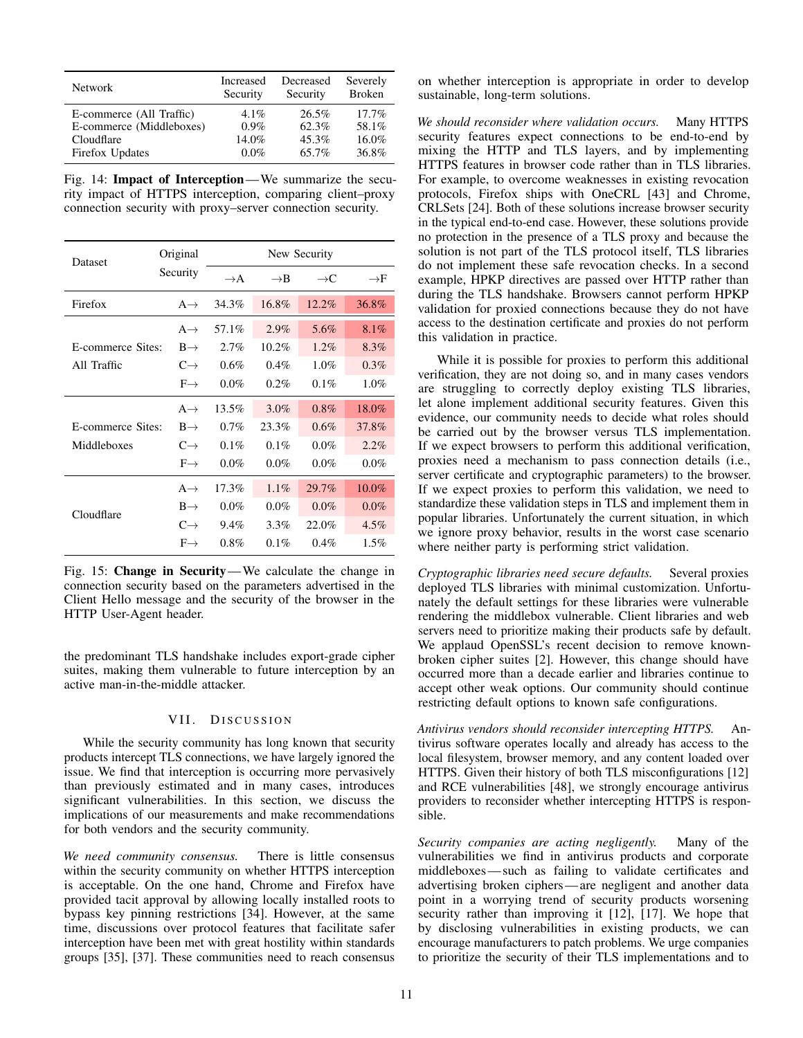<span id="page-10-0"></span>

| <b>Network</b>           | Increased | Decreased | Severely      |
|--------------------------|-----------|-----------|---------------|
|                          | Security  | Security  | <b>Broken</b> |
| E-commerce (All Traffic) | $4.1\%$   | $26.5\%$  | 17.7%         |
| E-commerce (Middleboxes) | $0.9\%$   | 62.3%     | 58.1%         |
| Cloudflare               | $14.0\%$  | 45.3%     | 16.0%         |
| Firefox Updates          | $0.0\%$   | 65.7%     | 36.8%         |

Fig. 14: Impact of Interception—We summarize the security impact of HTTPS interception, comparing client–proxy connection security with proxy–server connection security.

| <b>Dataset</b>    | Original        | New Security    |                 |                 |                 |  |  |
|-------------------|-----------------|-----------------|-----------------|-----------------|-----------------|--|--|
|                   | Security        | $\rightarrow$ A | $\rightarrow$ B | $\rightarrow$ C | $\rightarrow$ F |  |  |
| Firefox           | $A \rightarrow$ | 34.3%           | 16.8%           | 12.2%           | 36.8%           |  |  |
|                   | $A \rightarrow$ | 57.1%           | 2.9%            | 5.6%            | 8.1%            |  |  |
| E-commerce Sites: | $B \rightarrow$ | 2.7%            | $10.2\%$        | 1.2%            | 8.3%            |  |  |
| All Traffic       | $C \rightarrow$ | 0.6%            | $0.4\%$         | $1.0\%$         | 0.3%            |  |  |
|                   | $F \rightarrow$ | $0.0\%$         | $0.2\%$         | $0.1\%$         | $1.0\%$         |  |  |
|                   | $A \rightarrow$ | 13.5%           | 3.0%            | 0.8%            | 18.0%           |  |  |
| E-commerce Sites: | $B \rightarrow$ | $0.7\%$         | 23.3%           | $0.6\%$         | 37.8%           |  |  |
| Middleboxes       | $C \rightarrow$ | 0.1%            | 0.1%            | $0.0\%$         | 2.2%            |  |  |
|                   | $F \rightarrow$ | $0.0\%$         | $0.0\%$         | $0.0\%$         | $0.0\%$         |  |  |
|                   | $A \rightarrow$ | 17.3%           | $1.1\%$         | 29.7%           | 10.0%           |  |  |
| Cloudflare        | $B \rightarrow$ | $0.0\%$         | $0.0\%$         | $0.0\%$         | 0.0%            |  |  |
|                   | $C \rightarrow$ | 9.4%            | $3.3\%$         | 22.0%           | $4.5\%$         |  |  |
|                   | $F \rightarrow$ | $0.8\%$         | 0.1%            | $0.4\%$         | $1.5\%$         |  |  |

Fig. 15: Change in Security—We calculate the change in connection security based on the parameters advertised in the Client Hello message and the security of the browser in the HTTP User-Agent header.

the predominant TLS handshake includes export-grade cipher suites, making them vulnerable to future interception by an active man-in-the-middle attacker.

# VII. DISCUSSION

While the security community has long known that security products intercept TLS connections, we have largely ignored the issue. We find that interception is occurring more pervasively than previously estimated and in many cases, introduces significant vulnerabilities. In this section, we discuss the implications of our measurements and make recommendations for both vendors and the security community.

*We need community consensus.* There is little consensus within the security community on whether HTTPS interception is acceptable. On the one hand, Chrome and Firefox have provided tacit approval by allowing locally installed roots to bypass key pinning restrictions [\[34\]](#page-13-3). However, at the same time, discussions over protocol features that facilitate safer interception have been met with great hostility within standards groups [\[35\]](#page-13-35), [\[37\]](#page-13-36). These communities need to reach consensus on whether interception is appropriate in order to develop sustainable, long-term solutions.

*We should reconsider where validation occurs.* Many HTTPS security features expect connections to be end-to-end by mixing the HTTP and TLS layers, and by implementing HTTPS features in browser code rather than in TLS libraries. For example, to overcome weaknesses in existing revocation protocols, Firefox ships with OneCRL [\[43\]](#page-13-37) and Chrome, CRLSets [\[24\]](#page-13-38). Both of these solutions increase browser security in the typical end-to-end case. However, these solutions provide no protection in the presence of a TLS proxy and because the solution is not part of the TLS protocol itself, TLS libraries do not implement these safe revocation checks. In a second example, HPKP directives are passed over HTTP rather than during the TLS handshake. Browsers cannot perform HPKP validation for proxied connections because they do not have access to the destination certificate and proxies do not perform this validation in practice.

While it is possible for proxies to perform this additional verification, they are not doing so, and in many cases vendors are struggling to correctly deploy existing TLS libraries, let alone implement additional security features. Given this evidence, our community needs to decide what roles should be carried out by the browser versus TLS implementation. If we expect browsers to perform this additional verification, proxies need a mechanism to pass connection details (i.e., server certificate and cryptographic parameters) to the browser. If we expect proxies to perform this validation, we need to standardize these validation steps in TLS and implement them in popular libraries. Unfortunately the current situation, in which we ignore proxy behavior, results in the worst case scenario where neither party is performing strict validation.

*Cryptographic libraries need secure defaults.* Several proxies deployed TLS libraries with minimal customization. Unfortunately the default settings for these libraries were vulnerable rendering the middlebox vulnerable. Client libraries and web servers need to prioritize making their products safe by default. We applaud OpenSSL's recent decision to remove knownbroken cipher suites [\[2\]](#page-12-12). However, this change should have occurred more than a decade earlier and libraries continue to accept other weak options. Our community should continue restricting default options to known safe configurations.

*Antivirus vendors should reconsider intercepting HTTPS.* Antivirus software operates locally and already has access to the local filesystem, browser memory, and any content loaded over HTTPS. Given their history of both TLS misconfigurations [\[12\]](#page-12-2) and RCE vulnerabilities [\[48\]](#page-13-32), we strongly encourage antivirus providers to reconsider whether intercepting HTTPS is responsible.

*Security companies are acting negligently.* Many of the vulnerabilities we find in antivirus products and corporate middleboxes— such as failing to validate certificates and advertising broken ciphers— are negligent and another data point in a worrying trend of security products worsening security rather than improving it [\[12\]](#page-12-2), [\[17\]](#page-12-13). We hope that by disclosing vulnerabilities in existing products, we can encourage manufacturers to patch problems. We urge companies to prioritize the security of their TLS implementations and to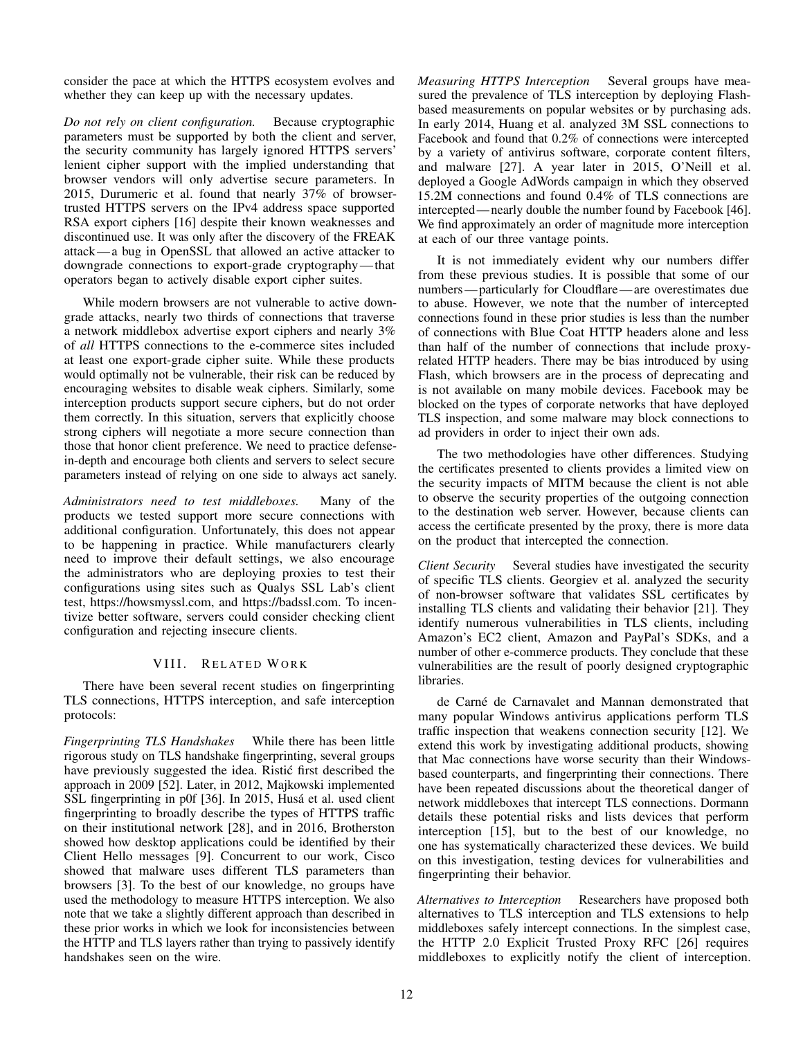consider the pace at which the HTTPS ecosystem evolves and whether they can keep up with the necessary updates.

*Do not rely on client configuration.* Because cryptographic parameters must be supported by both the client and server, the security community has largely ignored HTTPS servers' lenient cipher support with the implied understanding that browser vendors will only advertise secure parameters. In 2015, Durumeric et al. found that nearly 37% of browsertrusted HTTPS servers on the IPv4 address space supported RSA export ciphers [\[16\]](#page-12-14) despite their known weaknesses and discontinued use. It was only after the discovery of the FREAK attack— a bug in OpenSSL that allowed an active attacker to downgrade connections to export-grade cryptography—that operators began to actively disable export cipher suites.

While modern browsers are not vulnerable to active downgrade attacks, nearly two thirds of connections that traverse a network middlebox advertise export ciphers and nearly 3% of *all* HTTPS connections to the e-commerce sites included at least one export-grade cipher suite. While these products would optimally not be vulnerable, their risk can be reduced by encouraging websites to disable weak ciphers. Similarly, some interception products support secure ciphers, but do not order them correctly. In this situation, servers that explicitly choose strong ciphers will negotiate a more secure connection than those that honor client preference. We need to practice defensein-depth and encourage both clients and servers to select secure parameters instead of relying on one side to always act sanely.

*Administrators need to test middleboxes.* Many of the products we tested support more secure connections with additional configuration. Unfortunately, this does not appear to be happening in practice. While manufacturers clearly need to improve their default settings, we also encourage the administrators who are deploying proxies to test their configurations using sites such as Qualys SSL Lab's client test, [https://howsmyssl.com,](https://howsmyssl.com) and [https://badssl.com.](https://badssl.com) To incentivize better software, servers could consider checking client configuration and rejecting insecure clients.

# VIII. RELATED WORK

There have been several recent studies on fingerprinting TLS connections, HTTPS interception, and safe interception protocols:

*Fingerprinting TLS Handshakes* While there has been little rigorous study on TLS handshake fingerprinting, several groups have previously suggested the idea. Ristic first described the approach in 2009 [\[52\]](#page-13-39). Later, in 2012, Majkowski implemented SSL fingerprinting in p0f [\[36\]](#page-13-40). In 2015, Husá et al. used client fingerprinting to broadly describe the types of HTTPS traffic on their institutional network [\[28\]](#page-13-41), and in 2016, Brotherston showed how desktop applications could be identified by their Client Hello messages [\[9\]](#page-12-15). Concurrent to our work, Cisco showed that malware uses different TLS parameters than browsers [\[3\]](#page-12-16). To the best of our knowledge, no groups have used the methodology to measure HTTPS interception. We also note that we take a slightly different approach than described in these prior works in which we look for inconsistencies between the HTTP and TLS layers rather than trying to passively identify handshakes seen on the wire.

*Measuring HTTPS Interception* Several groups have measured the prevalence of TLS interception by deploying Flashbased measurements on popular websites or by purchasing ads. In early 2014, Huang et al. analyzed 3M SSL connections to Facebook and found that 0.2% of connections were intercepted by a variety of antivirus software, corporate content filters, and malware [\[27\]](#page-13-5). A year later in 2015, O'Neill et al. deployed a Google AdWords campaign in which they observed 15.2M connections and found 0.4% of TLS connections are intercepted— nearly double the number found by Facebook [\[46\]](#page-13-7). We find approximately an order of magnitude more interception at each of our three vantage points.

It is not immediately evident why our numbers differ from these previous studies. It is possible that some of our numbers— particularly for Cloudflare— are overestimates due to abuse. However, we note that the number of intercepted connections found in these prior studies is less than the number of connections with Blue Coat HTTP headers alone and less than half of the number of connections that include proxyrelated HTTP headers. There may be bias introduced by using Flash, which browsers are in the process of deprecating and is not available on many mobile devices. Facebook may be blocked on the types of corporate networks that have deployed TLS inspection, and some malware may block connections to ad providers in order to inject their own ads.

The two methodologies have other differences. Studying the certificates presented to clients provides a limited view on the security impacts of MITM because the client is not able to observe the security properties of the outgoing connection to the destination web server. However, because clients can access the certificate presented by the proxy, there is more data on the product that intercepted the connection.

*Client Security* Several studies have investigated the security of specific TLS clients. Georgiev et al. analyzed the security of non-browser software that validates SSL certificates by installing TLS clients and validating their behavior [\[21\]](#page-13-42). They identify numerous vulnerabilities in TLS clients, including Amazon's EC2 client, Amazon and PayPal's SDKs, and a number of other e-commerce products. They conclude that these vulnerabilities are the result of poorly designed cryptographic libraries.

de Carné de Carnavalet and Mannan demonstrated that many popular Windows antivirus applications perform TLS traffic inspection that weakens connection security [\[12\]](#page-12-2). We extend this work by investigating additional products, showing that Mac connections have worse security than their Windowsbased counterparts, and fingerprinting their connections. There have been repeated discussions about the theoretical danger of network middleboxes that intercept TLS connections. Dormann details these potential risks and lists devices that perform interception [\[15\]](#page-12-3), but to the best of our knowledge, no one has systematically characterized these devices. We build on this investigation, testing devices for vulnerabilities and fingerprinting their behavior.

*Alternatives to Interception* Researchers have proposed both alternatives to TLS interception and TLS extensions to help middleboxes safely intercept connections. In the simplest case, the HTTP 2.0 Explicit Trusted Proxy RFC [\[26\]](#page-13-8) requires middleboxes to explicitly notify the client of interception.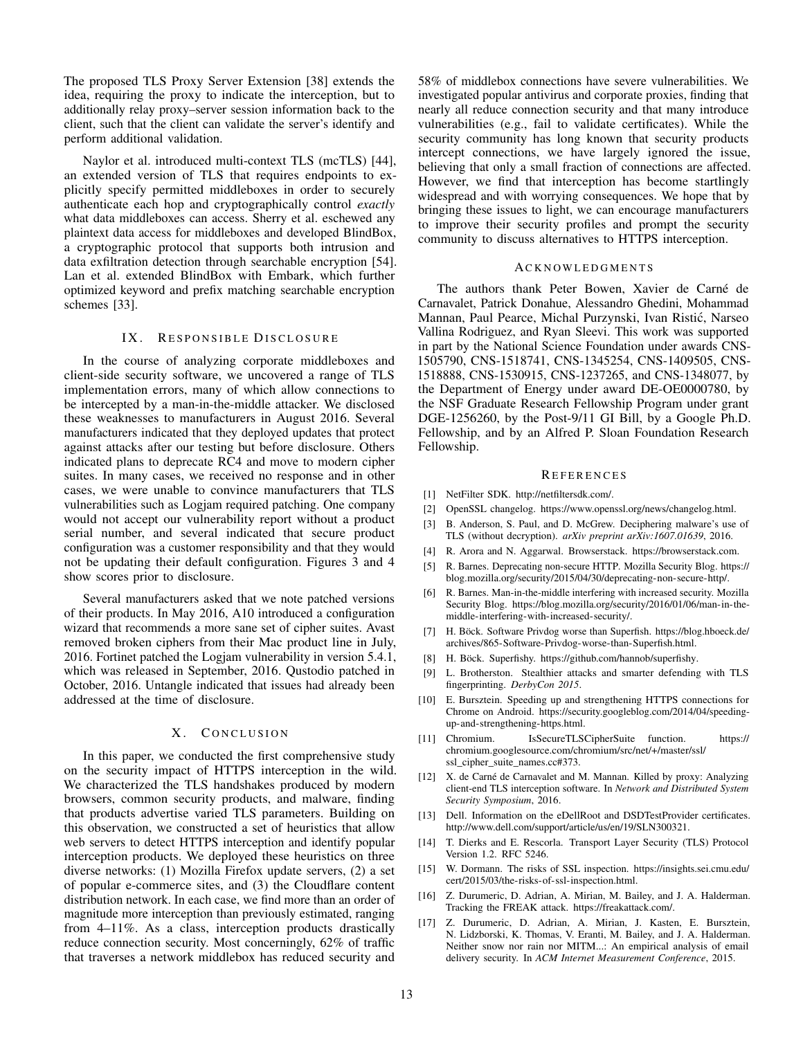The proposed TLS Proxy Server Extension [\[38\]](#page-13-9) extends the idea, requiring the proxy to indicate the interception, but to additionally relay proxy–server session information back to the client, such that the client can validate the server's identify and perform additional validation.

Naylor et al. introduced multi-context TLS (mcTLS) [\[44\]](#page-13-10), an extended version of TLS that requires endpoints to explicitly specify permitted middleboxes in order to securely authenticate each hop and cryptographically control *exactly* what data middleboxes can access. Sherry et al. eschewed any plaintext data access for middleboxes and developed BlindBox, a cryptographic protocol that supports both intrusion and data exfiltration detection through searchable encryption [\[54\]](#page-13-11). Lan et al. extended BlindBox with Embark, which further optimized keyword and prefix matching searchable encryption schemes [\[33\]](#page-13-43).

#### IX. RESPONSIBLE DISCLOSURE

In the course of analyzing corporate middleboxes and client-side security software, we uncovered a range of TLS implementation errors, many of which allow connections to be intercepted by a man-in-the-middle attacker. We disclosed these weaknesses to manufacturers in August 2016. Several manufacturers indicated that they deployed updates that protect against attacks after our testing but before disclosure. Others indicated plans to deprecate RC4 and move to modern cipher suites. In many cases, we received no response and in other cases, we were unable to convince manufacturers that TLS vulnerabilities such as Logjam required patching. One company would not accept our vulnerability report without a product serial number, and several indicated that secure product configuration was a customer responsibility and that they would not be updating their default configuration. Figures [3](#page-4-0) and [4](#page-4-1) show scores prior to disclosure.

Several manufacturers asked that we note patched versions of their products. In May 2016, A10 introduced a configuration wizard that recommends a more sane set of cipher suites. Avast removed broken ciphers from their Mac product line in July, 2016. Fortinet patched the Logjam vulnerability in version 5.4.1, which was released in September, 2016. Qustodio patched in October, 2016. Untangle indicated that issues had already been addressed at the time of disclosure.

# X. CONCLUSION

In this paper, we conducted the first comprehensive study on the security impact of HTTPS interception in the wild. We characterized the TLS handshakes produced by modern browsers, common security products, and malware, finding that products advertise varied TLS parameters. Building on this observation, we constructed a set of heuristics that allow web servers to detect HTTPS interception and identify popular interception products. We deployed these heuristics on three diverse networks: (1) Mozilla Firefox update servers, (2) a set of popular e-commerce sites, and (3) the Cloudflare content distribution network. In each case, we find more than an order of magnitude more interception than previously estimated, ranging from 4–11%. As a class, interception products drastically reduce connection security. Most concerningly, 62% of traffic that traverses a network middlebox has reduced security and

58% of middlebox connections have severe vulnerabilities. We investigated popular antivirus and corporate proxies, finding that nearly all reduce connection security and that many introduce vulnerabilities (e.g., fail to validate certificates). While the security community has long known that security products intercept connections, we have largely ignored the issue, believing that only a small fraction of connections are affected. However, we find that interception has become startlingly widespread and with worrying consequences. We hope that by bringing these issues to light, we can encourage manufacturers to improve their security profiles and prompt the security community to discuss alternatives to HTTPS interception.

### **ACKNOWLEDGMENTS**

The authors thank Peter Bowen, Xavier de Carné de Carnavalet, Patrick Donahue, Alessandro Ghedini, Mohammad Mannan, Paul Pearce, Michal Purzynski, Ivan Ristic, Narseo ´ Vallina Rodriguez, and Ryan Sleevi. This work was supported in part by the National Science Foundation under awards CNS-1505790, CNS-1518741, CNS-1345254, CNS-1409505, CNS-1518888, CNS-1530915, CNS-1237265, and CNS-1348077, by the Department of Energy under award DE-OE0000780, by the NSF Graduate Research Fellowship Program under grant DGE-1256260, by the Post-9/11 GI Bill, by a Google Ph.D. Fellowship, and by an Alfred P. Sloan Foundation Research Fellowship.

#### **REFERENCES**

- <span id="page-12-9"></span>[1] NetFilter SDK. [http://netfiltersdk.com/.](http://netfiltersdk.com/)
- <span id="page-12-12"></span>[2] OpenSSL changelog. [https://www.openssl.org/news/changelog.html.](https://www.openssl.org/news/changelog.html)
- <span id="page-12-16"></span>[3] B. Anderson, S. Paul, and D. McGrew. Deciphering malware's use of TLS (without decryption). *arXiv preprint arXiv:1607.01639*, 2016.
- <span id="page-12-6"></span>[4] R. Arora and N. Aggarwal. Browserstack. [https://browserstack.com.](https://browserstack.com)
- <span id="page-12-0"></span>[5] R. Barnes. Deprecating non-secure HTTP. Mozilla Security Blog. [https://](https://blog.mozilla.org/security/2015/04/30/deprecating-non-secure-http/) [blog.mozilla.org/security/2015/04/30/deprecating-non-secure-http/.](https://blog.mozilla.org/security/2015/04/30/deprecating-non-secure-http/)
- <span id="page-12-1"></span>[6] R. Barnes. Man-in-the-middle interfering with increased security. Mozilla Security Blog. [https://blog.mozilla.org/security/2016/01/06/man-in-the](https://blog.mozilla.org/security/2016/01/06/man-in-the-middle-interfering-with-increased-security/)[middle-interfering-with-increased-security/.](https://blog.mozilla.org/security/2016/01/06/man-in-the-middle-interfering-with-increased-security/)
- <span id="page-12-4"></span>[7] H. Böck. Software Privdog worse than Superfish. [https://blog.hboeck.de/](https://blog.hboeck.de/archives/865-Software-Privdog-worse-than-Superfish.html) [archives/865-Software-Privdog-worse-than-Superfish.html.](https://blog.hboeck.de/archives/865-Software-Privdog-worse-than-Superfish.html)
- <span id="page-12-8"></span>[8] H. Böck. Superfishy. [https://github.com/hannob/superfishy.](https://github.com/hannob/superfishy)
- <span id="page-12-15"></span>[9] L. Brotherston. Stealthier attacks and smarter defending with TLS fingerprinting. *DerbyCon 2015*.
- <span id="page-12-7"></span>[10] E. Bursztein. Speeding up and strengthening HTTPS connections for Chrome on Android. [https://security.googleblog.com/2014/04/speeding](https://security.googleblog.com/2014/04/speeding-up-and-strengthening-https.html)[up-and-strengthening-https.html.](https://security.googleblog.com/2014/04/speeding-up-and-strengthening-https.html)
- <span id="page-12-10"></span>[11] Chromium. IsSecureTLSCipherSuite function. [https://](https://chromium.googlesource.com/chromium/src/net/+/master/ssl/ssl_cipher_suite_names.cc#373) [chromium.googlesource.com/chromium/src/net/+/master/ssl/](https://chromium.googlesource.com/chromium/src/net/+/master/ssl/ssl_cipher_suite_names.cc#373) [ssl\\_cipher\\_suite\\_names.cc#373.](https://chromium.googlesource.com/chromium/src/net/+/master/ssl/ssl_cipher_suite_names.cc#373)
- <span id="page-12-2"></span>[12] X. de Carné de Carnavalet and M. Mannan. Killed by proxy: Analyzing client-end TLS interception software. In *Network and Distributed System Security Symposium*, 2016.
- <span id="page-12-11"></span>[13] Dell. Information on the eDellRoot and DSDTestProvider certificates. [http://www.dell.com/support/article/us/en/19/SLN300321.](http://www.dell.com/support/article/us/en/19/SLN300321)
- <span id="page-12-5"></span>[14] T. Dierks and E. Rescorla. Transport Layer Security (TLS) Protocol Version 1.2. RFC 5246.
- <span id="page-12-3"></span>[15] W. Dormann. The risks of SSL inspection. [https://insights.sei.cmu.edu/](https://insights.sei.cmu.edu/cert/2015/03/the-risks-of-ssl-inspection.html) [cert/2015/03/the-risks-of-ssl-inspection.html.](https://insights.sei.cmu.edu/cert/2015/03/the-risks-of-ssl-inspection.html)
- <span id="page-12-14"></span>[16] Z. Durumeric, D. Adrian, A. Mirian, M. Bailey, and J. A. Halderman. Tracking the FREAK attack. [https://freakattack.com/.](https://freakattack.com/)
- <span id="page-12-13"></span>[17] Z. Durumeric, D. Adrian, A. Mirian, J. Kasten, E. Bursztein, N. Lidzborski, K. Thomas, V. Eranti, M. Bailey, and J. A. Halderman. Neither snow nor rain nor MITM...: An empirical analysis of email delivery security. In *ACM Internet Measurement Conference*, 2015.